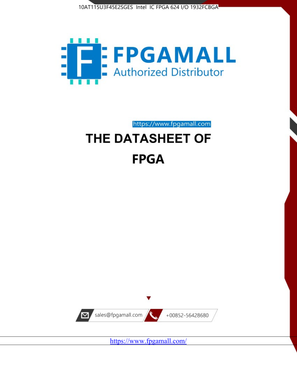



https://www.fpgamall.com

# THE DATASHEET OF **FPGA**



<https://www.fpgamall.com/>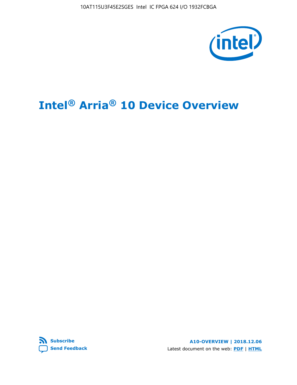10AT115U3F45E2SGES Intel IC FPGA 624 I/O 1932FCBGA



# **Intel® Arria® 10 Device Overview**



**A10-OVERVIEW | 2018.12.06** Latest document on the web: **[PDF](https://www.intel.com/content/dam/www/programmable/us/en/pdfs/literature/hb/arria-10/a10_overview.pdf)** | **[HTML](https://www.intel.com/content/www/us/en/programmable/documentation/sam1403480274650.html)**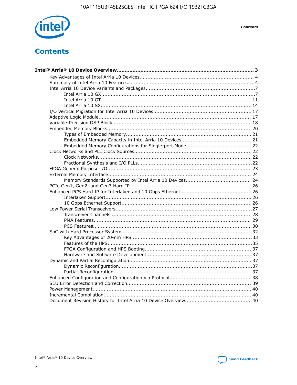

**Contents** 

# **Contents**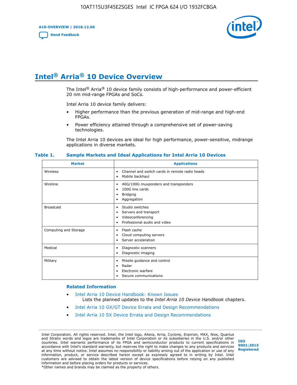**A10-OVERVIEW | 2018.12.06**

**[Send Feedback](mailto:FPGAtechdocfeedback@intel.com?subject=Feedback%20on%20Intel%20Arria%2010%20Device%20Overview%20(A10-OVERVIEW%202018.12.06)&body=We%20appreciate%20your%20feedback.%20In%20your%20comments,%20also%20specify%20the%20page%20number%20or%20paragraph.%20Thank%20you.)**



# **Intel® Arria® 10 Device Overview**

The Intel<sup>®</sup> Arria<sup>®</sup> 10 device family consists of high-performance and power-efficient 20 nm mid-range FPGAs and SoCs.

Intel Arria 10 device family delivers:

- Higher performance than the previous generation of mid-range and high-end FPGAs.
- Power efficiency attained through a comprehensive set of power-saving technologies.

The Intel Arria 10 devices are ideal for high performance, power-sensitive, midrange applications in diverse markets.

| <b>Market</b>         | <b>Applications</b>                                                                                               |
|-----------------------|-------------------------------------------------------------------------------------------------------------------|
| Wireless              | Channel and switch cards in remote radio heads<br>٠<br>Mobile backhaul<br>٠                                       |
| Wireline              | 40G/100G muxponders and transponders<br>٠<br>100G line cards<br>٠<br><b>Bridging</b><br>٠<br>Aggregation<br>٠     |
| <b>Broadcast</b>      | Studio switches<br>٠<br>Servers and transport<br>٠<br>Videoconferencing<br>٠<br>Professional audio and video<br>٠ |
| Computing and Storage | Flash cache<br>٠<br>Cloud computing servers<br>٠<br>Server acceleration<br>٠                                      |
| Medical               | Diagnostic scanners<br>٠<br>Diagnostic imaging<br>٠                                                               |
| Military              | Missile guidance and control<br>٠<br>Radar<br>٠<br>Electronic warfare<br>٠<br>Secure communications<br>٠          |

#### **Table 1. Sample Markets and Ideal Applications for Intel Arria 10 Devices**

#### **Related Information**

- [Intel Arria 10 Device Handbook: Known Issues](http://www.altera.com/support/kdb/solutions/rd07302013_646.html) Lists the planned updates to the *Intel Arria 10 Device Handbook* chapters.
- [Intel Arria 10 GX/GT Device Errata and Design Recommendations](https://www.intel.com/content/www/us/en/programmable/documentation/agz1493851706374.html#yqz1494433888646)
- [Intel Arria 10 SX Device Errata and Design Recommendations](https://www.intel.com/content/www/us/en/programmable/documentation/cru1462832385668.html#cru1462832558642)

Intel Corporation. All rights reserved. Intel, the Intel logo, Altera, Arria, Cyclone, Enpirion, MAX, Nios, Quartus and Stratix words and logos are trademarks of Intel Corporation or its subsidiaries in the U.S. and/or other countries. Intel warrants performance of its FPGA and semiconductor products to current specifications in accordance with Intel's standard warranty, but reserves the right to make changes to any products and services at any time without notice. Intel assumes no responsibility or liability arising out of the application or use of any information, product, or service described herein except as expressly agreed to in writing by Intel. Intel customers are advised to obtain the latest version of device specifications before relying on any published information and before placing orders for products or services. \*Other names and brands may be claimed as the property of others.

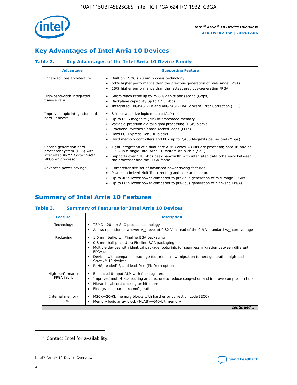

# **Key Advantages of Intel Arria 10 Devices**

## **Table 2. Key Advantages of the Intel Arria 10 Device Family**

| <b>Advantage</b>                                                                                          | <b>Supporting Feature</b>                                                                                                                                                                                                                                                                                                |
|-----------------------------------------------------------------------------------------------------------|--------------------------------------------------------------------------------------------------------------------------------------------------------------------------------------------------------------------------------------------------------------------------------------------------------------------------|
| Enhanced core architecture                                                                                | Built on TSMC's 20 nm process technology<br>٠<br>60% higher performance than the previous generation of mid-range FPGAs<br>٠<br>15% higher performance than the fastest previous-generation FPGA<br>٠                                                                                                                    |
| High-bandwidth integrated<br>transceivers                                                                 | Short-reach rates up to 25.8 Gigabits per second (Gbps)<br>٠<br>Backplane capability up to 12.5 Gbps<br>٠<br>Integrated 10GBASE-KR and 40GBASE-KR4 Forward Error Correction (FEC)<br>٠                                                                                                                                   |
| Improved logic integration and<br>hard IP blocks                                                          | 8-input adaptive logic module (ALM)<br>٠<br>Up to 65.6 megabits (Mb) of embedded memory<br>٠<br>Variable-precision digital signal processing (DSP) blocks<br>Fractional synthesis phase-locked loops (PLLs)<br>Hard PCI Express Gen3 IP blocks<br>Hard memory controllers and PHY up to 2,400 Megabits per second (Mbps) |
| Second generation hard<br>processor system (HPS) with<br>integrated ARM* Cortex*-A9*<br>MPCore* processor | Tight integration of a dual-core ARM Cortex-A9 MPCore processor, hard IP, and an<br>٠<br>FPGA in a single Intel Arria 10 system-on-a-chip (SoC)<br>Supports over 128 Gbps peak bandwidth with integrated data coherency between<br>$\bullet$<br>the processor and the FPGA fabric                                        |
| Advanced power savings                                                                                    | Comprehensive set of advanced power saving features<br>٠<br>Power-optimized MultiTrack routing and core architecture<br>٠<br>Up to 40% lower power compared to previous generation of mid-range FPGAs<br>٠<br>Up to 60% lower power compared to previous generation of high-end FPGAs                                    |

# **Summary of Intel Arria 10 Features**

## **Table 3. Summary of Features for Intel Arria 10 Devices**

| <b>Feature</b>                  | <b>Description</b>                                                                                                                                                                                                                                                                                                                                                                                           |
|---------------------------------|--------------------------------------------------------------------------------------------------------------------------------------------------------------------------------------------------------------------------------------------------------------------------------------------------------------------------------------------------------------------------------------------------------------|
| Technology                      | TSMC's 20-nm SoC process technology<br>Allows operation at a lower $V_{\text{CC}}$ level of 0.82 V instead of the 0.9 V standard $V_{\text{CC}}$ core voltage                                                                                                                                                                                                                                                |
| Packaging                       | 1.0 mm ball-pitch Fineline BGA packaging<br>٠<br>0.8 mm ball-pitch Ultra Fineline BGA packaging<br>Multiple devices with identical package footprints for seamless migration between different<br><b>FPGA</b> densities<br>Devices with compatible package footprints allow migration to next generation high-end<br>Stratix <sup>®</sup> 10 devices<br>RoHS, leaded $(1)$ , and lead-free (Pb-free) options |
| High-performance<br>FPGA fabric | Enhanced 8-input ALM with four registers<br>Improved multi-track routing architecture to reduce congestion and improve compilation time<br>Hierarchical core clocking architecture<br>Fine-grained partial reconfiguration                                                                                                                                                                                   |
| Internal memory<br>blocks       | M20K-20-Kb memory blocks with hard error correction code (ECC)<br>Memory logic array block (MLAB)-640-bit memory                                                                                                                                                                                                                                                                                             |
|                                 | continued                                                                                                                                                                                                                                                                                                                                                                                                    |



<sup>(1)</sup> Contact Intel for availability.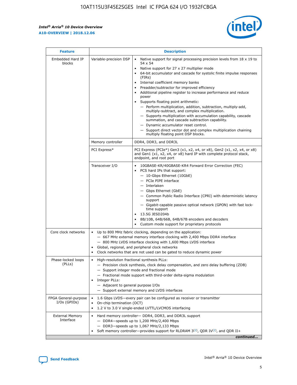r



| <b>Feature</b>                         | <b>Description</b>                                                                                             |                                                                                                                                                                                                                                                                                                                                                                                                                                                                                                                                                                                                                                                                                                                                                                                                                                        |  |  |  |  |  |
|----------------------------------------|----------------------------------------------------------------------------------------------------------------|----------------------------------------------------------------------------------------------------------------------------------------------------------------------------------------------------------------------------------------------------------------------------------------------------------------------------------------------------------------------------------------------------------------------------------------------------------------------------------------------------------------------------------------------------------------------------------------------------------------------------------------------------------------------------------------------------------------------------------------------------------------------------------------------------------------------------------------|--|--|--|--|--|
| Embedded Hard IP<br>blocks             | Variable-precision DSP                                                                                         | Native support for signal processing precision levels from $18 \times 19$ to<br>54 x 54<br>Native support for 27 x 27 multiplier mode<br>64-bit accumulator and cascade for systolic finite impulse responses<br>(FIRs)<br>Internal coefficient memory banks<br>$\bullet$<br>Preadder/subtractor for improved efficiency<br>Additional pipeline register to increase performance and reduce<br>power<br>Supports floating point arithmetic:<br>- Perform multiplication, addition, subtraction, multiply-add,<br>multiply-subtract, and complex multiplication.<br>- Supports multiplication with accumulation capability, cascade<br>summation, and cascade subtraction capability.<br>- Dynamic accumulator reset control.<br>- Support direct vector dot and complex multiplication chaining<br>multiply floating point DSP blocks. |  |  |  |  |  |
|                                        | Memory controller                                                                                              | DDR4, DDR3, and DDR3L                                                                                                                                                                                                                                                                                                                                                                                                                                                                                                                                                                                                                                                                                                                                                                                                                  |  |  |  |  |  |
|                                        | PCI Express*                                                                                                   | PCI Express (PCIe*) Gen3 (x1, x2, x4, or x8), Gen2 (x1, x2, x4, or x8)<br>and Gen1 (x1, x2, x4, or x8) hard IP with complete protocol stack,<br>endpoint, and root port                                                                                                                                                                                                                                                                                                                                                                                                                                                                                                                                                                                                                                                                |  |  |  |  |  |
|                                        | Transceiver I/O                                                                                                | 10GBASE-KR/40GBASE-KR4 Forward Error Correction (FEC)<br>PCS hard IPs that support:<br>$\bullet$<br>- 10-Gbps Ethernet (10GbE)<br>- PCIe PIPE interface<br>$-$ Interlaken<br>- Gbps Ethernet (GbE)<br>- Common Public Radio Interface (CPRI) with deterministic latency<br>support<br>- Gigabit-capable passive optical network (GPON) with fast lock-<br>time support<br>13.5G JESD204b<br>$\bullet$<br>8B/10B, 64B/66B, 64B/67B encoders and decoders<br>Custom mode support for proprietary protocols                                                                                                                                                                                                                                                                                                                               |  |  |  |  |  |
| Core clock networks                    | $\bullet$<br>$\bullet$                                                                                         | Up to 800 MHz fabric clocking, depending on the application:<br>- 667 MHz external memory interface clocking with 2,400 Mbps DDR4 interface<br>- 800 MHz LVDS interface clocking with 1,600 Mbps LVDS interface<br>Global, regional, and peripheral clock networks<br>Clock networks that are not used can be gated to reduce dynamic power                                                                                                                                                                                                                                                                                                                                                                                                                                                                                            |  |  |  |  |  |
| Phase-locked loops<br>(PLLs)           | High-resolution fractional synthesis PLLs:<br>$\bullet$<br>Integer PLLs:<br>- Adjacent to general purpose I/Os | - Precision clock synthesis, clock delay compensation, and zero delay buffering (ZDB)<br>- Support integer mode and fractional mode<br>- Fractional mode support with third-order delta-sigma modulation<br>- Support external memory and LVDS interfaces                                                                                                                                                                                                                                                                                                                                                                                                                                                                                                                                                                              |  |  |  |  |  |
| FPGA General-purpose<br>$I/Os$ (GPIOs) | On-chip termination (OCT)                                                                                      | 1.6 Gbps LVDS-every pair can be configured as receiver or transmitter<br>1.2 V to 3.0 V single-ended LVTTL/LVCMOS interfacing                                                                                                                                                                                                                                                                                                                                                                                                                                                                                                                                                                                                                                                                                                          |  |  |  |  |  |
| <b>External Memory</b><br>Interface    |                                                                                                                | Hard memory controller- DDR4, DDR3, and DDR3L support<br>$-$ DDR4-speeds up to 1,200 MHz/2,400 Mbps<br>- DDR3-speeds up to 1,067 MHz/2,133 Mbps<br>Soft memory controller—provides support for RLDRAM $3^{(2)}$ , QDR IV $^{(2)}$ , and QDR II+<br>continued                                                                                                                                                                                                                                                                                                                                                                                                                                                                                                                                                                           |  |  |  |  |  |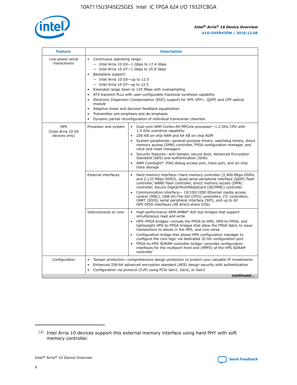

| <b>Feature</b>                                    | <b>Description</b>                                                                                                                                                                                                                                                                                                                                                                                                                                                                                                                                                                                                                           |  |  |  |  |  |  |  |
|---------------------------------------------------|----------------------------------------------------------------------------------------------------------------------------------------------------------------------------------------------------------------------------------------------------------------------------------------------------------------------------------------------------------------------------------------------------------------------------------------------------------------------------------------------------------------------------------------------------------------------------------------------------------------------------------------------|--|--|--|--|--|--|--|
| Low-power serial<br>transceivers                  | • Continuous operating range:<br>- Intel Arria 10 GX-1 Gbps to 17.4 Gbps<br>- Intel Arria 10 GT-1 Gbps to 25.8 Gbps<br>Backplane support:<br>$-$ Intel Arria 10 GX-up to 12.5<br>$-$ Intel Arria 10 GT-up to 12.5<br>Extended range down to 125 Mbps with oversampling<br>ATX transmit PLLs with user-configurable fractional synthesis capability<br>Electronic Dispersion Compensation (EDC) support for XFP, SFP+, QSFP, and CFP optical<br>module<br>• Adaptive linear and decision feedback equalization<br>Transmitter pre-emphasis and de-emphasis<br>$\bullet$<br>Dynamic partial reconfiguration of individual transceiver channels |  |  |  |  |  |  |  |
| <b>HPS</b><br>(Intel Arria 10 SX<br>devices only) | Dual-core ARM Cortex-A9 MPCore processor-1.2 GHz CPU with<br>Processor and system<br>$\bullet$<br>1.5 GHz overdrive capability<br>256 KB on-chip RAM and 64 KB on-chip ROM<br>System peripherals-general-purpose timers, watchdog timers, direct<br>memory access (DMA) controller, FPGA configuration manager, and<br>clock and reset managers<br>Security features-anti-tamper, secure boot, Advanced Encryption<br>$\bullet$<br>Standard (AES) and authentication (SHA)<br>ARM CoreSight* JTAG debug access port, trace port, and on-chip<br>trace storage                                                                                |  |  |  |  |  |  |  |
|                                                   | <b>External interfaces</b><br>Hard memory interface-Hard memory controller (2,400 Mbps DDR4,<br>$\bullet$<br>and 2,133 Mbps DDR3), Quad serial peripheral interface (QSPI) flash<br>controller, NAND flash controller, direct memory access (DMA)<br>controller, Secure Digital/MultiMediaCard (SD/MMC) controller<br>Communication interface-10/100/1000 Ethernet media access<br>$\bullet$<br>control (MAC), USB On-The-GO (OTG) controllers, I <sup>2</sup> C controllers,<br>UART 16550, serial peripheral interface (SPI), and up to 62<br>HPS GPIO interfaces (48 direct-share I/Os)                                                   |  |  |  |  |  |  |  |
|                                                   | High-performance ARM AMBA* AXI bus bridges that support<br>Interconnects to core<br>$\bullet$<br>simultaneous read and write<br>HPS-FPGA bridges-include the FPGA-to-HPS, HPS-to-FPGA, and<br>$\bullet$<br>lightweight HPS-to-FPGA bridges that allow the FPGA fabric to issue<br>transactions to slaves in the HPS, and vice versa<br>Configuration bridge that allows HPS configuration manager to<br>configure the core logic via dedicated 32-bit configuration port<br>FPGA-to-HPS SDRAM controller bridge-provides configuration<br>interfaces for the multiport front end (MPFE) of the HPS SDRAM<br>controller                       |  |  |  |  |  |  |  |
| Configuration                                     | Tamper protection—comprehensive design protection to protect your valuable IP investments<br>Enhanced 256-bit advanced encryption standard (AES) design security with authentication<br>٠<br>Configuration via protocol (CvP) using PCIe Gen1, Gen2, or Gen3<br>continued                                                                                                                                                                                                                                                                                                                                                                    |  |  |  |  |  |  |  |

<sup>(2)</sup> Intel Arria 10 devices support this external memory interface using hard PHY with soft memory controller.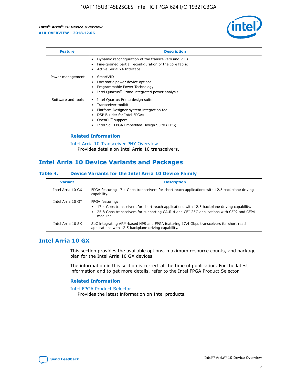

| <b>Feature</b>     | <b>Description</b>                                                                                                                                                                                                    |
|--------------------|-----------------------------------------------------------------------------------------------------------------------------------------------------------------------------------------------------------------------|
|                    | Dynamic reconfiguration of the transceivers and PLLs<br>Fine-grained partial reconfiguration of the core fabric<br>Active Serial x4 Interface                                                                         |
| Power management   | SmartVID<br>Low static power device options<br>Programmable Power Technology<br>Intel Quartus <sup>®</sup> Prime integrated power analysis                                                                            |
| Software and tools | Intel Quartus Prime design suite<br>Transceiver toolkit<br>٠<br>Platform Designer system integration tool<br>DSP Builder for Intel FPGAs<br>OpenCL <sup>™</sup> support<br>Intel SoC FPGA Embedded Design Suite (EDS) |

## **Related Information**

[Intel Arria 10 Transceiver PHY Overview](https://www.intel.com/content/www/us/en/programmable/documentation/nik1398707230472.html#nik1398706768037) Provides details on Intel Arria 10 transceivers.

## **Intel Arria 10 Device Variants and Packages**

#### **Table 4. Device Variants for the Intel Arria 10 Device Family**

| <b>Variant</b>    | <b>Description</b>                                                                                                                                                                                                     |
|-------------------|------------------------------------------------------------------------------------------------------------------------------------------------------------------------------------------------------------------------|
| Intel Arria 10 GX | FPGA featuring 17.4 Gbps transceivers for short reach applications with 12.5 backplane driving<br>capability.                                                                                                          |
| Intel Arria 10 GT | FPGA featuring:<br>17.4 Gbps transceivers for short reach applications with 12.5 backplane driving capability.<br>25.8 Gbps transceivers for supporting CAUI-4 and CEI-25G applications with CFP2 and CFP4<br>modules. |
| Intel Arria 10 SX | SoC integrating ARM-based HPS and FPGA featuring 17.4 Gbps transceivers for short reach<br>applications with 12.5 backplane driving capability.                                                                        |

## **Intel Arria 10 GX**

This section provides the available options, maximum resource counts, and package plan for the Intel Arria 10 GX devices.

The information in this section is correct at the time of publication. For the latest information and to get more details, refer to the Intel FPGA Product Selector.

#### **Related Information**

#### [Intel FPGA Product Selector](http://www.altera.com/products/selector/psg-selector.html) Provides the latest information on Intel products.

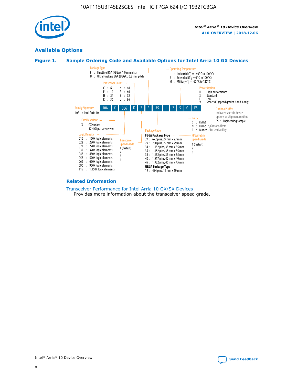

## **Available Options**





#### **Related Information**

[Transceiver Performance for Intel Arria 10 GX/SX Devices](https://www.intel.com/content/www/us/en/programmable/documentation/mcn1413182292568.html#mcn1413213965502) Provides more information about the transceiver speed grade.

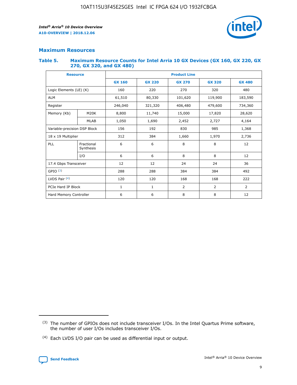

## **Maximum Resources**

#### **Table 5. Maximum Resource Counts for Intel Arria 10 GX Devices (GX 160, GX 220, GX 270, GX 320, and GX 480)**

| <b>Resource</b>              |                         | <b>Product Line</b> |                                                 |                |         |                |  |  |  |
|------------------------------|-------------------------|---------------------|-------------------------------------------------|----------------|---------|----------------|--|--|--|
|                              |                         | <b>GX 160</b>       | <b>GX 220</b><br><b>GX 270</b><br><b>GX 320</b> |                |         | <b>GX 480</b>  |  |  |  |
| Logic Elements (LE) (K)      |                         | 160                 | 320<br>220<br>270                               |                |         | 480            |  |  |  |
| <b>ALM</b>                   |                         | 61,510              | 80,330                                          | 101,620        | 119,900 | 183,590        |  |  |  |
| Register                     |                         | 246,040             | 321,320<br>406,480                              |                | 479,600 | 734,360        |  |  |  |
| Memory (Kb)                  | M <sub>20</sub> K       | 8,800               | 11,740                                          | 15,000         | 17,820  | 28,620         |  |  |  |
|                              | <b>MLAB</b>             | 1,050               | 1,690<br>2,452<br>2,727                         |                |         | 4,164          |  |  |  |
| Variable-precision DSP Block |                         | 156                 | 192                                             | 830<br>985     |         | 1,368          |  |  |  |
| 18 x 19 Multiplier           |                         | 312                 | 384                                             | 1,660<br>1,970 |         | 2,736          |  |  |  |
| PLL                          | Fractional<br>Synthesis | 6                   | 6                                               | 8              | 8       | 12             |  |  |  |
|                              | I/O                     | 6                   | 6                                               | 8              | 8       | 12             |  |  |  |
| 17.4 Gbps Transceiver        |                         | 12                  | 12                                              | 24             | 24      |                |  |  |  |
| GPIO <sup>(3)</sup>          |                         | 288                 | 288                                             | 384            | 384     |                |  |  |  |
| LVDS Pair $(4)$              |                         | 120                 | 120                                             | 168            | 168     | 222            |  |  |  |
| PCIe Hard IP Block           |                         | 1                   | $\mathbf{1}$                                    | $\overline{2}$ | 2       | $\overline{2}$ |  |  |  |
| Hard Memory Controller       |                         | 6                   | 6                                               | 8              | 8       |                |  |  |  |

<sup>(4)</sup> Each LVDS I/O pair can be used as differential input or output.



<sup>(3)</sup> The number of GPIOs does not include transceiver I/Os. In the Intel Quartus Prime software, the number of user I/Os includes transceiver I/Os.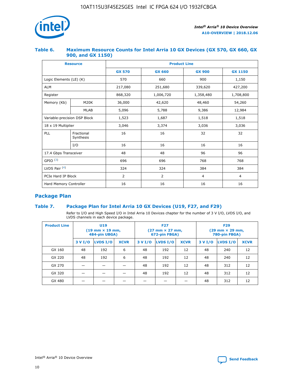

## **Table 6. Maximum Resource Counts for Intel Arria 10 GX Devices (GX 570, GX 660, GX 900, and GX 1150)**

|                              | <b>Resource</b>         | <b>Product Line</b> |                |                |                |  |  |  |
|------------------------------|-------------------------|---------------------|----------------|----------------|----------------|--|--|--|
|                              |                         | <b>GX 570</b>       | <b>GX 660</b>  | <b>GX 900</b>  | <b>GX 1150</b> |  |  |  |
| Logic Elements (LE) (K)      |                         | 570                 | 660            | 900            | 1,150          |  |  |  |
| <b>ALM</b>                   |                         | 217,080             | 251,680        | 339,620        | 427,200        |  |  |  |
| Register                     |                         | 868,320             | 1,006,720      |                | 1,708,800      |  |  |  |
| Memory (Kb)                  | <b>M20K</b>             | 36,000              | 42,620         | 48,460         | 54,260         |  |  |  |
|                              | <b>MLAB</b>             | 5,096               | 5,788<br>9,386 |                | 12,984         |  |  |  |
| Variable-precision DSP Block |                         | 1,523               | 1,687          | 1,518          | 1,518          |  |  |  |
| $18 \times 19$ Multiplier    |                         | 3,046               | 3,374          | 3,036          | 3,036          |  |  |  |
| PLL                          | Fractional<br>Synthesis | 16                  | 16             | 32             | 32             |  |  |  |
|                              | I/O                     | 16                  | 16             | 16             | 16             |  |  |  |
| 17.4 Gbps Transceiver        |                         | 48                  | 48<br>96       |                | 96             |  |  |  |
| GPIO <sup>(3)</sup>          |                         | 696                 | 696            | 768            | 768            |  |  |  |
| LVDS Pair $(4)$              |                         | 324                 | 324            | 384            | 384            |  |  |  |
| PCIe Hard IP Block           |                         | 2                   | $\overline{2}$ | $\overline{4}$ | 4              |  |  |  |
| Hard Memory Controller       |                         | 16                  | 16             | 16             | 16             |  |  |  |

## **Package Plan**

## **Table 7. Package Plan for Intel Arria 10 GX Devices (U19, F27, and F29)**

Refer to I/O and High Speed I/O in Intel Arria 10 Devices chapter for the number of 3 V I/O, LVDS I/O, and LVDS channels in each device package.

| <b>Product Line</b> | U <sub>19</sub><br>$(19 \text{ mm} \times 19 \text{ mm})$<br>484-pin UBGA) |          |             |         | <b>F27</b><br>(27 mm × 27 mm,<br>672-pin FBGA) |             | <b>F29</b><br>(29 mm × 29 mm,<br>780-pin FBGA) |          |             |  |
|---------------------|----------------------------------------------------------------------------|----------|-------------|---------|------------------------------------------------|-------------|------------------------------------------------|----------|-------------|--|
|                     | 3 V I/O                                                                    | LVDS I/O | <b>XCVR</b> | 3 V I/O | <b>LVDS I/O</b>                                | <b>XCVR</b> | 3 V I/O                                        | LVDS I/O | <b>XCVR</b> |  |
| GX 160              | 48                                                                         | 192      | 6           | 48      | 192                                            | 12          | 48                                             | 240      | 12          |  |
| GX 220              | 48                                                                         | 192      | 6           | 48      | 192                                            | 12          | 48                                             | 240      | 12          |  |
| GX 270              |                                                                            |          |             | 48      | 192                                            | 12          | 48                                             | 312      | 12          |  |
| GX 320              |                                                                            |          |             | 48      | 192                                            | 12          | 48                                             | 312      | 12          |  |
| GX 480              |                                                                            |          |             |         |                                                |             | 48                                             | 312      | 12          |  |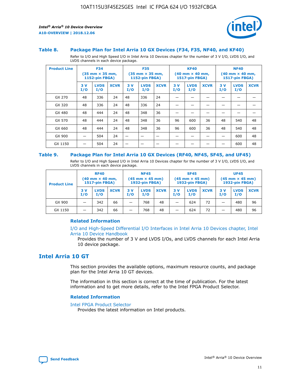

#### **Table 8. Package Plan for Intel Arria 10 GX Devices (F34, F35, NF40, and KF40)**

Refer to I/O and High Speed I/O in Intel Arria 10 Devices chapter for the number of 3 V I/O, LVDS I/O, and LVDS channels in each device package.

| <b>Product Line</b> | <b>F34</b><br>$(35 \text{ mm} \times 35 \text{ mm})$<br>1152-pin FBGA) |                    | <b>F35</b><br>$(35 \text{ mm} \times 35 \text{ mm})$<br><b>1152-pin FBGA)</b> |           | <b>KF40</b><br>$(40$ mm $\times$ 40 mm,<br>1517-pin FBGA) |             |           | <b>NF40</b><br>$(40$ mm $\times$ 40 mm,<br><b>1517-pin FBGA)</b> |             |            |                    |             |
|---------------------|------------------------------------------------------------------------|--------------------|-------------------------------------------------------------------------------|-----------|-----------------------------------------------------------|-------------|-----------|------------------------------------------------------------------|-------------|------------|--------------------|-------------|
|                     | 3V<br>I/O                                                              | <b>LVDS</b><br>I/O | <b>XCVR</b>                                                                   | 3V<br>I/O | <b>LVDS</b><br>I/O                                        | <b>XCVR</b> | 3V<br>I/O | <b>LVDS</b><br>I/O                                               | <b>XCVR</b> | 3 V<br>I/O | <b>LVDS</b><br>I/O | <b>XCVR</b> |
| GX 270              | 48                                                                     | 336                | 24                                                                            | 48        | 336                                                       | 24          |           |                                                                  |             |            |                    |             |
| GX 320              | 48                                                                     | 336                | 24                                                                            | 48        | 336                                                       | 24          |           |                                                                  |             |            |                    |             |
| GX 480              | 48                                                                     | 444                | 24                                                                            | 48        | 348                                                       | 36          |           |                                                                  |             |            |                    |             |
| GX 570              | 48                                                                     | 444                | 24                                                                            | 48        | 348                                                       | 36          | 96        | 600                                                              | 36          | 48         | 540                | 48          |
| GX 660              | 48                                                                     | 444                | 24                                                                            | 48        | 348                                                       | 36          | 96        | 600                                                              | 36          | 48         | 540                | 48          |
| GX 900              |                                                                        | 504                | 24                                                                            | -         |                                                           |             |           |                                                                  |             |            | 600                | 48          |
| GX 1150             |                                                                        | 504                | 24                                                                            |           |                                                           |             |           |                                                                  |             |            | 600                | 48          |

#### **Table 9. Package Plan for Intel Arria 10 GX Devices (RF40, NF45, SF45, and UF45)**

Refer to I/O and High Speed I/O in Intel Arria 10 Devices chapter for the number of 3 V I/O, LVDS I/O, and LVDS channels in each device package.

| <b>Product Line</b> | <b>RF40</b><br>$(40$ mm $\times$ 40 mm,<br>1517-pin FBGA) |                    |             | <b>NF45</b><br>$(45 \text{ mm} \times 45 \text{ mm})$<br><b>1932-pin FBGA)</b> |                    |             | <b>SF45</b><br>$(45 \text{ mm} \times 45 \text{ mm})$<br><b>1932-pin FBGA)</b> |                    |             | <b>UF45</b><br>$(45 \text{ mm} \times 45 \text{ mm})$<br><b>1932-pin FBGA)</b> |                    |             |
|---------------------|-----------------------------------------------------------|--------------------|-------------|--------------------------------------------------------------------------------|--------------------|-------------|--------------------------------------------------------------------------------|--------------------|-------------|--------------------------------------------------------------------------------|--------------------|-------------|
|                     | 3V<br>I/O                                                 | <b>LVDS</b><br>I/O | <b>XCVR</b> | 3 V<br>I/O                                                                     | <b>LVDS</b><br>I/O | <b>XCVR</b> | 3 V<br>I/O                                                                     | <b>LVDS</b><br>I/O | <b>XCVR</b> | 3V<br>I/O                                                                      | <b>LVDS</b><br>I/O | <b>XCVR</b> |
| GX 900              |                                                           | 342                | 66          | _                                                                              | 768                | 48          |                                                                                | 624                | 72          |                                                                                | 480                | 96          |
| GX 1150             |                                                           | 342                | 66          | _                                                                              | 768                | 48          |                                                                                | 624                | 72          |                                                                                | 480                | 96          |

#### **Related Information**

[I/O and High-Speed Differential I/O Interfaces in Intel Arria 10 Devices chapter, Intel](https://www.intel.com/content/www/us/en/programmable/documentation/sam1403482614086.html#sam1403482030321) [Arria 10 Device Handbook](https://www.intel.com/content/www/us/en/programmable/documentation/sam1403482614086.html#sam1403482030321)

Provides the number of 3 V and LVDS I/Os, and LVDS channels for each Intel Arria 10 device package.

## **Intel Arria 10 GT**

This section provides the available options, maximum resource counts, and package plan for the Intel Arria 10 GT devices.

The information in this section is correct at the time of publication. For the latest information and to get more details, refer to the Intel FPGA Product Selector.

#### **Related Information**

#### [Intel FPGA Product Selector](http://www.altera.com/products/selector/psg-selector.html)

Provides the latest information on Intel products.

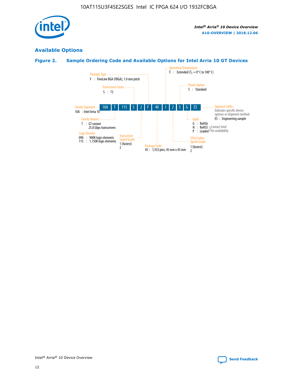

## **Available Options**

## **Figure 2. Sample Ordering Code and Available Options for Intel Arria 10 GT Devices**

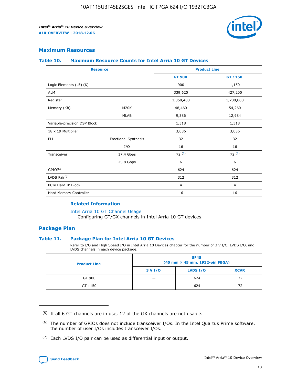

## **Maximum Resources**

#### **Table 10. Maximum Resource Counts for Intel Arria 10 GT Devices**

| <b>Resource</b>              |                      |                | <b>Product Line</b> |  |
|------------------------------|----------------------|----------------|---------------------|--|
|                              |                      | <b>GT 900</b>  | GT 1150             |  |
| Logic Elements (LE) (K)      |                      | 900            | 1,150               |  |
| <b>ALM</b>                   |                      | 339,620        | 427,200             |  |
| Register                     |                      | 1,358,480      | 1,708,800           |  |
| Memory (Kb)                  | M20K                 | 48,460         | 54,260              |  |
|                              | <b>MLAB</b>          | 9,386          | 12,984              |  |
| Variable-precision DSP Block |                      | 1,518          | 1,518               |  |
| 18 x 19 Multiplier           |                      | 3,036          | 3,036               |  |
| PLL                          | Fractional Synthesis | 32             | 32                  |  |
|                              | I/O                  | 16             | 16                  |  |
| Transceiver                  | 17.4 Gbps            | 72(5)          | 72(5)               |  |
|                              | 25.8 Gbps            | 6              | 6                   |  |
| GPIO <sup>(6)</sup>          |                      | 624            | 624                 |  |
| LVDS Pair $(7)$              |                      | 312            | 312                 |  |
| PCIe Hard IP Block           |                      | $\overline{4}$ | $\overline{4}$      |  |
| Hard Memory Controller       |                      | 16             | 16                  |  |

#### **Related Information**

#### [Intel Arria 10 GT Channel Usage](https://www.intel.com/content/www/us/en/programmable/documentation/nik1398707230472.html#nik1398707008178)

Configuring GT/GX channels in Intel Arria 10 GT devices.

## **Package Plan**

#### **Table 11. Package Plan for Intel Arria 10 GT Devices**

Refer to I/O and High Speed I/O in Intel Arria 10 Devices chapter for the number of 3 V I/O, LVDS I/O, and LVDS channels in each device package.

| <b>Product Line</b> | <b>SF45</b><br>(45 mm × 45 mm, 1932-pin FBGA) |                 |             |  |  |  |
|---------------------|-----------------------------------------------|-----------------|-------------|--|--|--|
|                     | 3 V I/O                                       | <b>LVDS I/O</b> | <b>XCVR</b> |  |  |  |
| GT 900              |                                               | 624             | 72          |  |  |  |
| GT 1150             |                                               | 624             | 72          |  |  |  |

<sup>(7)</sup> Each LVDS I/O pair can be used as differential input or output.



 $(5)$  If all 6 GT channels are in use, 12 of the GX channels are not usable.

<sup>(6)</sup> The number of GPIOs does not include transceiver I/Os. In the Intel Quartus Prime software, the number of user I/Os includes transceiver I/Os.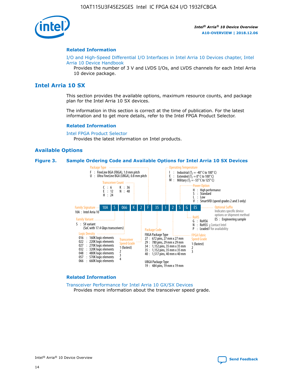

#### **Related Information**

[I/O and High-Speed Differential I/O Interfaces in Intel Arria 10 Devices chapter, Intel](https://www.intel.com/content/www/us/en/programmable/documentation/sam1403482614086.html#sam1403482030321) [Arria 10 Device Handbook](https://www.intel.com/content/www/us/en/programmable/documentation/sam1403482614086.html#sam1403482030321)

Provides the number of 3 V and LVDS I/Os, and LVDS channels for each Intel Arria 10 device package.

## **Intel Arria 10 SX**

This section provides the available options, maximum resource counts, and package plan for the Intel Arria 10 SX devices.

The information in this section is correct at the time of publication. For the latest information and to get more details, refer to the Intel FPGA Product Selector.

#### **Related Information**

[Intel FPGA Product Selector](http://www.altera.com/products/selector/psg-selector.html) Provides the latest information on Intel products.

## **Available Options**

#### **Figure 3. Sample Ordering Code and Available Options for Intel Arria 10 SX Devices**



#### **Related Information**

[Transceiver Performance for Intel Arria 10 GX/SX Devices](https://www.intel.com/content/www/us/en/programmable/documentation/mcn1413182292568.html#mcn1413213965502) Provides more information about the transceiver speed grade.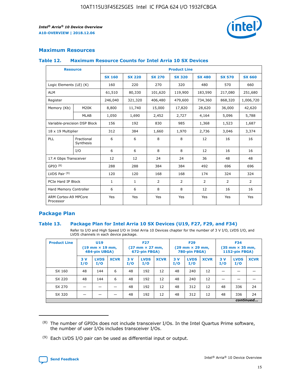

## **Maximum Resources**

#### **Table 12. Maximum Resource Counts for Intel Arria 10 SX Devices**

|                                   | <b>Resource</b>         | <b>Product Line</b> |               |                |                |                |                |                |  |  |  |
|-----------------------------------|-------------------------|---------------------|---------------|----------------|----------------|----------------|----------------|----------------|--|--|--|
|                                   |                         | <b>SX 160</b>       | <b>SX 220</b> | <b>SX 270</b>  | <b>SX 320</b>  | <b>SX 480</b>  | <b>SX 570</b>  | <b>SX 660</b>  |  |  |  |
| Logic Elements (LE) (K)           |                         | 160                 | 220           | 270            | 320            | 480            | 570            | 660            |  |  |  |
| <b>ALM</b>                        |                         | 61,510              | 80,330        | 101,620        | 119,900        | 183,590        | 217,080        | 251,680        |  |  |  |
| Register                          |                         | 246,040             | 321,320       | 406,480        | 479,600        | 734,360        | 868,320        | 1,006,720      |  |  |  |
| Memory (Kb)                       | M <sub>20</sub> K       | 8,800               | 11,740        | 15,000         | 17,820         | 28,620         | 36,000         | 42,620         |  |  |  |
|                                   | <b>MLAB</b>             | 1,050               | 1,690         | 2,452          | 2,727          | 4,164          | 5,096          | 5,788          |  |  |  |
| Variable-precision DSP Block      |                         | 156                 | 192           | 830            | 985            | 1,368          | 1,523          | 1,687          |  |  |  |
| 18 x 19 Multiplier                |                         | 312                 | 384           | 1,660          | 1,970          | 2,736          | 3,046          | 3,374          |  |  |  |
| <b>PLL</b>                        | Fractional<br>Synthesis | 6                   | 6             | 8              | 8              | 12             | 16             | 16             |  |  |  |
|                                   | I/O                     | 6                   | 6             | 8              | 8              | 12             | 16             | 16             |  |  |  |
| 17.4 Gbps Transceiver             |                         | 12                  | 12            | 24             | 24             | 36             | 48             | 48             |  |  |  |
| GPIO <sup>(8)</sup>               |                         | 288                 | 288           | 384            | 384            | 492            | 696            | 696            |  |  |  |
| LVDS Pair $(9)$                   |                         | 120                 | 120           | 168            | 168            | 174            | 324            | 324            |  |  |  |
| PCIe Hard IP Block                |                         | $\mathbf{1}$        | $\mathbf{1}$  | $\overline{2}$ | $\overline{2}$ | $\overline{2}$ | $\overline{2}$ | $\overline{2}$ |  |  |  |
| Hard Memory Controller            |                         | 6                   | 6             | 8              | 8              | 12             | 16             | 16             |  |  |  |
| ARM Cortex-A9 MPCore<br>Processor |                         | Yes                 | Yes           | Yes            | Yes            | Yes            | Yes            | Yes            |  |  |  |

## **Package Plan**

#### **Table 13. Package Plan for Intel Arria 10 SX Devices (U19, F27, F29, and F34)**

Refer to I/O and High Speed I/O in Intel Arria 10 Devices chapter for the number of 3 V I/O, LVDS I/O, and LVDS channels in each device package.

| <b>Product Line</b> | U19<br>$(19 \text{ mm} \times 19 \text{ mm})$<br>484-pin UBGA) |                    | <b>F27</b><br>$(27 \text{ mm} \times 27 \text{ mm})$<br>672-pin FBGA) |           | <b>F29</b><br>$(29 \text{ mm} \times 29 \text{ mm})$<br>780-pin FBGA) |             |            | <b>F34</b><br>$(35 \text{ mm} \times 35 \text{ mm})$<br><b>1152-pin FBGA)</b> |             |           |                    |             |
|---------------------|----------------------------------------------------------------|--------------------|-----------------------------------------------------------------------|-----------|-----------------------------------------------------------------------|-------------|------------|-------------------------------------------------------------------------------|-------------|-----------|--------------------|-------------|
|                     | 3V<br>I/O                                                      | <b>LVDS</b><br>I/O | <b>XCVR</b>                                                           | 3V<br>I/O | <b>LVDS</b><br>I/O                                                    | <b>XCVR</b> | 3 V<br>I/O | <b>LVDS</b><br>I/O                                                            | <b>XCVR</b> | 3V<br>I/O | <b>LVDS</b><br>I/O | <b>XCVR</b> |
| SX 160              | 48                                                             | 144                | 6                                                                     | 48        | 192                                                                   | 12          | 48         | 240                                                                           | 12          | –         |                    |             |
| SX 220              | 48                                                             | 144                | 6                                                                     | 48        | 192                                                                   | 12          | 48         | 240                                                                           | 12          |           |                    |             |
| SX 270              |                                                                |                    |                                                                       | 48        | 192                                                                   | 12          | 48         | 312                                                                           | 12          | 48        | 336                | 24          |
| SX 320              |                                                                |                    |                                                                       | 48        | 192                                                                   | 12          | 48         | 312                                                                           | 12          | 48        | 336                | 24          |
|                     | continued                                                      |                    |                                                                       |           |                                                                       |             |            |                                                                               |             |           |                    |             |

 $(8)$  The number of GPIOs does not include transceiver I/Os. In the Intel Quartus Prime software, the number of user I/Os includes transceiver I/Os.

 $(9)$  Each LVDS I/O pair can be used as differential input or output.

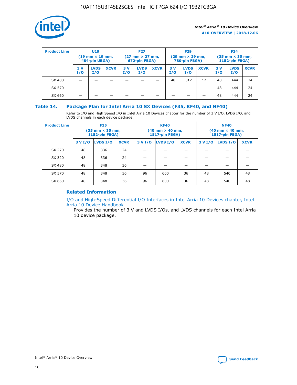

| <b>Product Line</b> | U <sub>19</sub><br>$(19 \text{ mm} \times 19 \text{ mm})$<br>484-pin UBGA) |                    | <b>F27</b><br>$(27 \text{ mm} \times 27 \text{ mm})$<br>672-pin FBGA) |           | <b>F29</b><br>$(29$ mm $\times$ 29 mm,<br>780-pin FBGA) |             |           | <b>F34</b><br>$(35$ mm $\times$ 35 mm,<br><b>1152-pin FBGA)</b> |             |            |                    |             |
|---------------------|----------------------------------------------------------------------------|--------------------|-----------------------------------------------------------------------|-----------|---------------------------------------------------------|-------------|-----------|-----------------------------------------------------------------|-------------|------------|--------------------|-------------|
|                     | 3 V<br>I/O                                                                 | <b>LVDS</b><br>I/O | <b>XCVR</b>                                                           | 3V<br>I/O | <b>LVDS</b><br>I/O                                      | <b>XCVR</b> | 3V<br>I/O | <b>LVDS</b><br>I/O                                              | <b>XCVR</b> | 3 V<br>I/O | <b>LVDS</b><br>I/O | <b>XCVR</b> |
| SX 480              |                                                                            |                    |                                                                       |           |                                                         |             | 48        | 312                                                             | 12          | 48         | 444                | 24          |
| SX 570              |                                                                            |                    |                                                                       |           |                                                         |             |           |                                                                 |             | 48         | 444                | 24          |
| SX 660              |                                                                            |                    |                                                                       |           |                                                         |             |           |                                                                 |             | 48         | 444                | 24          |

## **Table 14. Package Plan for Intel Arria 10 SX Devices (F35, KF40, and NF40)**

Refer to I/O and High Speed I/O in Intel Arria 10 Devices chapter for the number of 3 V I/O, LVDS I/O, and LVDS channels in each device package.

| <b>Product Line</b> | <b>F35</b><br>$(35 \text{ mm} \times 35 \text{ mm})$<br><b>1152-pin FBGA)</b> |          |             |                                           | <b>KF40</b><br>(40 mm × 40 mm,<br>1517-pin FBGA) |    | <b>NF40</b><br>$(40 \text{ mm} \times 40 \text{ mm})$<br>1517-pin FBGA) |          |             |  |
|---------------------|-------------------------------------------------------------------------------|----------|-------------|-------------------------------------------|--------------------------------------------------|----|-------------------------------------------------------------------------|----------|-------------|--|
|                     | 3 V I/O                                                                       | LVDS I/O | <b>XCVR</b> | <b>LVDS I/O</b><br><b>XCVR</b><br>3 V I/O |                                                  |    | 3 V I/O                                                                 | LVDS I/O | <b>XCVR</b> |  |
| SX 270              | 48                                                                            | 336      | 24          |                                           |                                                  |    |                                                                         |          |             |  |
| SX 320              | 48                                                                            | 336      | 24          |                                           |                                                  |    |                                                                         |          |             |  |
| SX 480              | 48                                                                            | 348      | 36          |                                           |                                                  |    |                                                                         |          |             |  |
| SX 570              | 48                                                                            | 348      | 36          | 96                                        | 600                                              | 36 | 48                                                                      | 540      | 48          |  |
| SX 660              | 48                                                                            | 348      | 36          | 96                                        | 600                                              | 36 | 48                                                                      | 540      | 48          |  |

## **Related Information**

[I/O and High-Speed Differential I/O Interfaces in Intel Arria 10 Devices chapter, Intel](https://www.intel.com/content/www/us/en/programmable/documentation/sam1403482614086.html#sam1403482030321) [Arria 10 Device Handbook](https://www.intel.com/content/www/us/en/programmable/documentation/sam1403482614086.html#sam1403482030321)

Provides the number of 3 V and LVDS I/Os, and LVDS channels for each Intel Arria 10 device package.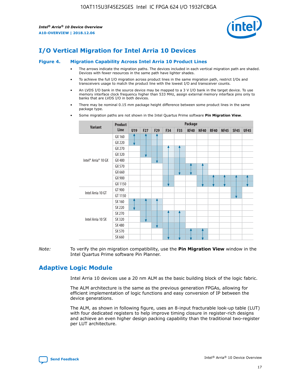

# **I/O Vertical Migration for Intel Arria 10 Devices**

#### **Figure 4. Migration Capability Across Intel Arria 10 Product Lines**

- The arrows indicate the migration paths. The devices included in each vertical migration path are shaded. Devices with fewer resources in the same path have lighter shades.
- To achieve the full I/O migration across product lines in the same migration path, restrict I/Os and transceivers usage to match the product line with the lowest I/O and transceiver counts.
- An LVDS I/O bank in the source device may be mapped to a 3 V I/O bank in the target device. To use memory interface clock frequency higher than 533 MHz, assign external memory interface pins only to banks that are LVDS I/O in both devices.
- There may be nominal 0.15 mm package height difference between some product lines in the same package type.
	- **Variant Product Line Package U19 F27 F29 F34 F35 KF40 NF40 RF40 NF45 SF45 UF45** Intel® Arria® 10 GX GX 160 GX 220 GX 270 GX 320 GX 480 GX 570 GX 660 GX 900 GX 1150 Intel Arria 10 GT GT 900 GT 1150 Intel Arria 10 SX SX 160 SX 220 SX 270 SX 320 SX 480 SX 570 SX 660
- Some migration paths are not shown in the Intel Quartus Prime software **Pin Migration View**.

*Note:* To verify the pin migration compatibility, use the **Pin Migration View** window in the Intel Quartus Prime software Pin Planner.

# **Adaptive Logic Module**

Intel Arria 10 devices use a 20 nm ALM as the basic building block of the logic fabric.

The ALM architecture is the same as the previous generation FPGAs, allowing for efficient implementation of logic functions and easy conversion of IP between the device generations.

The ALM, as shown in following figure, uses an 8-input fracturable look-up table (LUT) with four dedicated registers to help improve timing closure in register-rich designs and achieve an even higher design packing capability than the traditional two-register per LUT architecture.

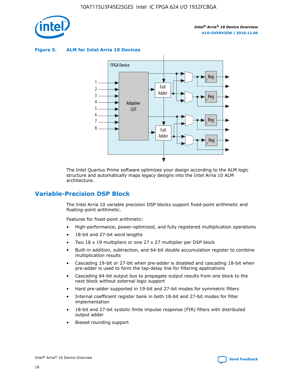

**Figure 5. ALM for Intel Arria 10 Devices**



The Intel Quartus Prime software optimizes your design according to the ALM logic structure and automatically maps legacy designs into the Intel Arria 10 ALM architecture.

## **Variable-Precision DSP Block**

The Intel Arria 10 variable precision DSP blocks support fixed-point arithmetic and floating-point arithmetic.

Features for fixed-point arithmetic:

- High-performance, power-optimized, and fully registered multiplication operations
- 18-bit and 27-bit word lengths
- Two 18 x 19 multipliers or one 27 x 27 multiplier per DSP block
- Built-in addition, subtraction, and 64-bit double accumulation register to combine multiplication results
- Cascading 19-bit or 27-bit when pre-adder is disabled and cascading 18-bit when pre-adder is used to form the tap-delay line for filtering applications
- Cascading 64-bit output bus to propagate output results from one block to the next block without external logic support
- Hard pre-adder supported in 19-bit and 27-bit modes for symmetric filters
- Internal coefficient register bank in both 18-bit and 27-bit modes for filter implementation
- 18-bit and 27-bit systolic finite impulse response (FIR) filters with distributed output adder
- Biased rounding support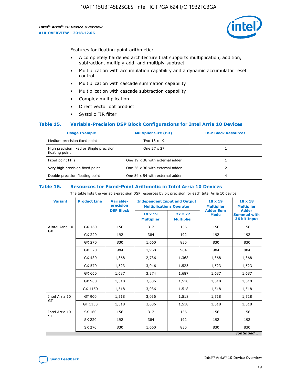

Features for floating-point arithmetic:

- A completely hardened architecture that supports multiplication, addition, subtraction, multiply-add, and multiply-subtract
- Multiplication with accumulation capability and a dynamic accumulator reset control
- Multiplication with cascade summation capability
- Multiplication with cascade subtraction capability
- Complex multiplication
- Direct vector dot product
- Systolic FIR filter

#### **Table 15. Variable-Precision DSP Block Configurations for Intel Arria 10 Devices**

| <b>Usage Example</b>                                       | <b>Multiplier Size (Bit)</b>    | <b>DSP Block Resources</b> |
|------------------------------------------------------------|---------------------------------|----------------------------|
| Medium precision fixed point                               | Two 18 x 19                     |                            |
| High precision fixed or Single precision<br>floating point | One 27 x 27                     |                            |
| Fixed point FFTs                                           | One 19 x 36 with external adder |                            |
| Very high precision fixed point                            | One 36 x 36 with external adder |                            |
| Double precision floating point                            | One 54 x 54 with external adder | 4                          |

#### **Table 16. Resources for Fixed-Point Arithmetic in Intel Arria 10 Devices**

The table lists the variable-precision DSP resources by bit precision for each Intel Arria 10 device.

| <b>Variant</b>  | <b>Product Line</b> | <b>Variable-</b><br>precision<br><b>DSP Block</b> | <b>Independent Input and Output</b><br><b>Multiplications Operator</b> |                                     | 18 x 19<br><b>Multiplier</b><br><b>Adder Sum</b> | $18 \times 18$<br><b>Multiplier</b><br><b>Adder</b> |
|-----------------|---------------------|---------------------------------------------------|------------------------------------------------------------------------|-------------------------------------|--------------------------------------------------|-----------------------------------------------------|
|                 |                     |                                                   | 18 x 19<br><b>Multiplier</b>                                           | $27 \times 27$<br><b>Multiplier</b> | <b>Mode</b>                                      | <b>Summed with</b><br>36 bit Input                  |
| AIntel Arria 10 | GX 160              | 156                                               | 312                                                                    | 156                                 | 156                                              | 156                                                 |
| GX              | GX 220              | 192                                               | 384                                                                    | 192                                 | 192                                              | 192                                                 |
|                 | GX 270              | 830                                               | 1,660                                                                  | 830                                 | 830                                              | 830                                                 |
|                 | GX 320              | 984                                               | 1,968                                                                  | 984                                 | 984                                              | 984                                                 |
|                 | GX 480              | 1,368                                             | 2,736                                                                  | 1,368                               | 1,368                                            | 1,368                                               |
|                 | GX 570              | 1,523                                             | 3,046                                                                  | 1,523                               | 1,523                                            | 1,523                                               |
|                 | GX 660              | 1,687                                             | 3,374                                                                  | 1,687                               | 1,687                                            | 1,687                                               |
|                 | GX 900              | 1,518                                             | 3,036                                                                  | 1,518                               | 1,518                                            | 1,518                                               |
|                 | GX 1150             | 1,518                                             | 3,036                                                                  | 1,518                               | 1,518                                            | 1,518                                               |
| Intel Arria 10  | GT 900              | 1,518                                             | 3,036                                                                  | 1,518                               | 1,518                                            | 1,518                                               |
| GT              | GT 1150             | 1,518                                             | 3,036                                                                  | 1,518                               | 1,518                                            | 1,518                                               |
| Intel Arria 10  | SX 160              | 156                                               | 312                                                                    | 156                                 | 156                                              | 156                                                 |
| <b>SX</b>       | SX 220              | 192                                               | 384                                                                    | 192                                 | 192                                              | 192                                                 |
|                 | SX 270              | 830                                               | 1,660                                                                  | 830                                 | 830                                              | 830                                                 |
|                 |                     |                                                   |                                                                        |                                     |                                                  | continued                                           |

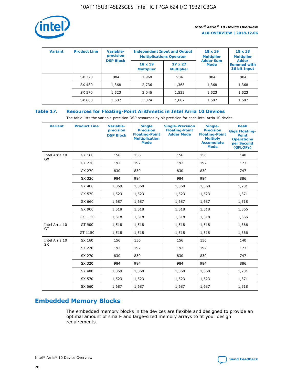

| <b>Variant</b> | <b>Product Line</b> | Variable-<br>precision | <b>Independent Input and Output</b><br><b>Multiplications Operator</b> |                                     | $18 \times 19$<br><b>Multiplier</b> | $18 \times 18$<br><b>Multiplier</b><br><b>Adder</b> |  |
|----------------|---------------------|------------------------|------------------------------------------------------------------------|-------------------------------------|-------------------------------------|-----------------------------------------------------|--|
|                |                     | <b>DSP Block</b>       | $18 \times 19$<br><b>Multiplier</b>                                    | $27 \times 27$<br><b>Multiplier</b> | <b>Adder Sum</b><br><b>Mode</b>     | <b>Summed with</b><br>36 bit Input                  |  |
|                | SX 320              | 984                    | 1,968                                                                  | 984                                 | 984                                 | 984                                                 |  |
|                | SX 480              | 1,368                  | 2,736                                                                  | 1,368                               | 1,368                               | 1,368                                               |  |
|                | SX 570              | 1,523                  | 3,046                                                                  | 1,523                               | 1,523                               | 1,523                                               |  |
|                | SX 660              | 1,687                  | 3,374                                                                  | 1,687                               | 1,687                               | 1,687                                               |  |

## **Table 17. Resources for Floating-Point Arithmetic in Intel Arria 10 Devices**

The table lists the variable-precision DSP resources by bit precision for each Intel Arria 10 device.

| <b>Variant</b> | <b>Product Line</b> | <b>Variable-</b><br>precision<br><b>DSP Block</b> | <b>Single</b><br><b>Precision</b><br><b>Floating-Point</b><br><b>Multiplication</b><br><b>Mode</b> | <b>Single-Precision</b><br><b>Floating-Point</b><br><b>Adder Mode</b> | Single-<br><b>Precision</b><br><b>Floating-Point</b><br><b>Multiply</b><br><b>Accumulate</b><br><b>Mode</b> | <b>Peak</b><br><b>Giga Floating-</b><br><b>Point</b><br><b>Operations</b><br>per Second<br>(GFLOPs) |
|----------------|---------------------|---------------------------------------------------|----------------------------------------------------------------------------------------------------|-----------------------------------------------------------------------|-------------------------------------------------------------------------------------------------------------|-----------------------------------------------------------------------------------------------------|
| Intel Arria 10 | GX 160              | 156                                               | 156                                                                                                | 156                                                                   | 156                                                                                                         | 140                                                                                                 |
| GX             | GX 220              | 192                                               | 192                                                                                                | 192                                                                   | 192                                                                                                         | 173                                                                                                 |
|                | GX 270              | 830                                               | 830                                                                                                | 830                                                                   | 830                                                                                                         | 747                                                                                                 |
|                | GX 320              | 984                                               | 984                                                                                                | 984                                                                   | 984                                                                                                         | 886                                                                                                 |
|                | GX 480              | 1,369                                             | 1,368                                                                                              | 1,368                                                                 | 1,368                                                                                                       | 1,231                                                                                               |
|                | GX 570              | 1,523                                             | 1,523                                                                                              | 1,523                                                                 | 1,523                                                                                                       | 1,371                                                                                               |
|                | GX 660              | 1,687                                             | 1,687                                                                                              | 1,687                                                                 | 1,687                                                                                                       | 1,518                                                                                               |
|                | GX 900              | 1,518                                             | 1,518                                                                                              | 1,518                                                                 | 1,518                                                                                                       | 1,366                                                                                               |
|                | GX 1150             | 1,518                                             | 1,518                                                                                              | 1,518                                                                 | 1,518                                                                                                       | 1,366                                                                                               |
| Intel Arria 10 | GT 900              | 1,518                                             | 1,518                                                                                              | 1,518                                                                 | 1,518                                                                                                       | 1,366                                                                                               |
| GT             | GT 1150             | 1,518                                             | 1,518                                                                                              | 1,518                                                                 | 1,518                                                                                                       | 1,366                                                                                               |
| Intel Arria 10 | SX 160              | 156                                               | 156                                                                                                | 156                                                                   | 156                                                                                                         | 140                                                                                                 |
| <b>SX</b>      | SX 220              | 192                                               | 192                                                                                                | 192                                                                   | 192                                                                                                         | 173                                                                                                 |
|                | SX 270              | 830                                               | 830                                                                                                | 830                                                                   | 830                                                                                                         | 747                                                                                                 |
|                | SX 320              | 984                                               | 984                                                                                                | 984                                                                   | 984                                                                                                         | 886                                                                                                 |
|                | SX 480              | 1,369                                             | 1,368                                                                                              | 1,368                                                                 | 1,368                                                                                                       | 1,231                                                                                               |
|                | SX 570              | 1,523                                             | 1,523                                                                                              | 1,523                                                                 | 1,523                                                                                                       | 1,371                                                                                               |
|                | SX 660              | 1,687                                             | 1,687                                                                                              | 1,687                                                                 | 1,687                                                                                                       | 1,518                                                                                               |

# **Embedded Memory Blocks**

The embedded memory blocks in the devices are flexible and designed to provide an optimal amount of small- and large-sized memory arrays to fit your design requirements.

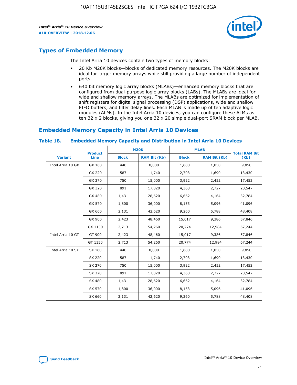

# **Types of Embedded Memory**

The Intel Arria 10 devices contain two types of memory blocks:

- 20 Kb M20K blocks—blocks of dedicated memory resources. The M20K blocks are ideal for larger memory arrays while still providing a large number of independent ports.
- 640 bit memory logic array blocks (MLABs)—enhanced memory blocks that are configured from dual-purpose logic array blocks (LABs). The MLABs are ideal for wide and shallow memory arrays. The MLABs are optimized for implementation of shift registers for digital signal processing (DSP) applications, wide and shallow FIFO buffers, and filter delay lines. Each MLAB is made up of ten adaptive logic modules (ALMs). In the Intel Arria 10 devices, you can configure these ALMs as ten 32 x 2 blocks, giving you one 32 x 20 simple dual-port SRAM block per MLAB.

# **Embedded Memory Capacity in Intel Arria 10 Devices**

|                   | <b>Product</b> | <b>M20K</b>  |                     | <b>MLAB</b>  |                     | <b>Total RAM Bit</b> |
|-------------------|----------------|--------------|---------------------|--------------|---------------------|----------------------|
| <b>Variant</b>    | <b>Line</b>    | <b>Block</b> | <b>RAM Bit (Kb)</b> | <b>Block</b> | <b>RAM Bit (Kb)</b> | (Kb)                 |
| Intel Arria 10 GX | GX 160         | 440          | 8,800               | 1,680        | 1,050               | 9,850                |
|                   | GX 220         | 587          | 11,740              | 2,703        | 1,690               | 13,430               |
|                   | GX 270         | 750          | 15,000              | 3,922        | 2,452               | 17,452               |
|                   | GX 320         | 891          | 17,820              | 4,363        | 2,727               | 20,547               |
|                   | GX 480         | 1,431        | 28,620              | 6,662        | 4,164               | 32,784               |
|                   | GX 570         | 1,800        | 36,000              | 8,153        | 5,096               | 41,096               |
|                   | GX 660         | 2,131        | 42,620              | 9,260        | 5,788               | 48,408               |
|                   | GX 900         | 2,423        | 48,460              | 15,017       | 9,386               | 57,846               |
|                   | GX 1150        | 2,713        | 54,260              | 20,774       | 12,984              | 67,244               |
| Intel Arria 10 GT | GT 900         | 2,423        | 48,460              | 15,017       | 9,386               | 57,846               |
|                   | GT 1150        | 2,713        | 54,260              | 20,774       | 12,984              | 67,244               |
| Intel Arria 10 SX | SX 160         | 440          | 8,800               | 1,680        | 1,050               | 9,850                |
|                   | SX 220         | 587          | 11,740              | 2,703        | 1,690               | 13,430               |
|                   | SX 270         | 750          | 15,000              | 3,922        | 2,452               | 17,452               |
|                   | SX 320         | 891          | 17,820              | 4,363        | 2,727               | 20,547               |
|                   | SX 480         | 1,431        | 28,620              | 6,662        | 4,164               | 32,784               |
|                   | SX 570         | 1,800        | 36,000              | 8,153        | 5,096               | 41,096               |
|                   | SX 660         | 2,131        | 42,620              | 9,260        | 5,788               | 48,408               |

#### **Table 18. Embedded Memory Capacity and Distribution in Intel Arria 10 Devices**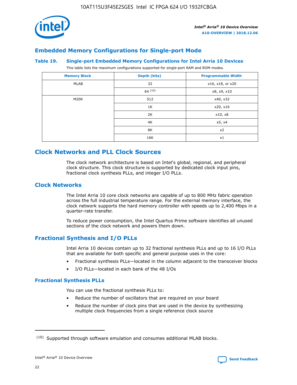

# **Embedded Memory Configurations for Single-port Mode**

#### **Table 19. Single-port Embedded Memory Configurations for Intel Arria 10 Devices**

This table lists the maximum configurations supported for single-port RAM and ROM modes.

| <b>Memory Block</b> | Depth (bits) | <b>Programmable Width</b> |
|---------------------|--------------|---------------------------|
| MLAB                | 32           | x16, x18, or x20          |
|                     | 64(10)       | x8, x9, x10               |
| M20K                | 512          | x40, x32                  |
|                     | 1K           | x20, x16                  |
|                     | 2K           | x10, x8                   |
|                     | 4K           | x5, x4                    |
|                     | 8K           | x2                        |
|                     | 16K          | x1                        |

# **Clock Networks and PLL Clock Sources**

The clock network architecture is based on Intel's global, regional, and peripheral clock structure. This clock structure is supported by dedicated clock input pins, fractional clock synthesis PLLs, and integer I/O PLLs.

## **Clock Networks**

The Intel Arria 10 core clock networks are capable of up to 800 MHz fabric operation across the full industrial temperature range. For the external memory interface, the clock network supports the hard memory controller with speeds up to 2,400 Mbps in a quarter-rate transfer.

To reduce power consumption, the Intel Quartus Prime software identifies all unused sections of the clock network and powers them down.

## **Fractional Synthesis and I/O PLLs**

Intel Arria 10 devices contain up to 32 fractional synthesis PLLs and up to 16 I/O PLLs that are available for both specific and general purpose uses in the core:

- Fractional synthesis PLLs—located in the column adjacent to the transceiver blocks
- I/O PLLs—located in each bank of the 48 I/Os

## **Fractional Synthesis PLLs**

You can use the fractional synthesis PLLs to:

- Reduce the number of oscillators that are required on your board
- Reduce the number of clock pins that are used in the device by synthesizing multiple clock frequencies from a single reference clock source

<sup>(10)</sup> Supported through software emulation and consumes additional MLAB blocks.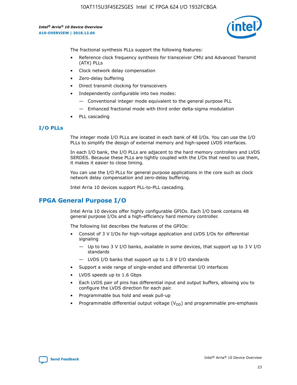

The fractional synthesis PLLs support the following features:

- Reference clock frequency synthesis for transceiver CMU and Advanced Transmit (ATX) PLLs
- Clock network delay compensation
- Zero-delay buffering
- Direct transmit clocking for transceivers
- Independently configurable into two modes:
	- Conventional integer mode equivalent to the general purpose PLL
	- Enhanced fractional mode with third order delta-sigma modulation
- PLL cascading

## **I/O PLLs**

The integer mode I/O PLLs are located in each bank of 48 I/Os. You can use the I/O PLLs to simplify the design of external memory and high-speed LVDS interfaces.

In each I/O bank, the I/O PLLs are adjacent to the hard memory controllers and LVDS SERDES. Because these PLLs are tightly coupled with the I/Os that need to use them, it makes it easier to close timing.

You can use the I/O PLLs for general purpose applications in the core such as clock network delay compensation and zero-delay buffering.

Intel Arria 10 devices support PLL-to-PLL cascading.

# **FPGA General Purpose I/O**

Intel Arria 10 devices offer highly configurable GPIOs. Each I/O bank contains 48 general purpose I/Os and a high-efficiency hard memory controller.

The following list describes the features of the GPIOs:

- Consist of 3 V I/Os for high-voltage application and LVDS I/Os for differential signaling
	- Up to two 3 V I/O banks, available in some devices, that support up to 3 V I/O standards
	- LVDS I/O banks that support up to 1.8 V I/O standards
- Support a wide range of single-ended and differential I/O interfaces
- LVDS speeds up to 1.6 Gbps
- Each LVDS pair of pins has differential input and output buffers, allowing you to configure the LVDS direction for each pair.
- Programmable bus hold and weak pull-up
- Programmable differential output voltage  $(V_{OD})$  and programmable pre-emphasis

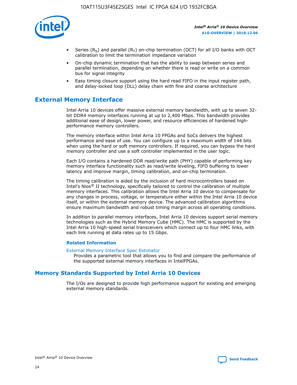

- Series (R<sub>S</sub>) and parallel (R<sub>T</sub>) on-chip termination (OCT) for all I/O banks with OCT calibration to limit the termination impedance variation
- On-chip dynamic termination that has the ability to swap between series and parallel termination, depending on whether there is read or write on a common bus for signal integrity
- Easy timing closure support using the hard read FIFO in the input register path, and delay-locked loop (DLL) delay chain with fine and coarse architecture

# **External Memory Interface**

Intel Arria 10 devices offer massive external memory bandwidth, with up to seven 32 bit DDR4 memory interfaces running at up to 2,400 Mbps. This bandwidth provides additional ease of design, lower power, and resource efficiencies of hardened highperformance memory controllers.

The memory interface within Intel Arria 10 FPGAs and SoCs delivers the highest performance and ease of use. You can configure up to a maximum width of 144 bits when using the hard or soft memory controllers. If required, you can bypass the hard memory controller and use a soft controller implemented in the user logic.

Each I/O contains a hardened DDR read/write path (PHY) capable of performing key memory interface functionality such as read/write leveling, FIFO buffering to lower latency and improve margin, timing calibration, and on-chip termination.

The timing calibration is aided by the inclusion of hard microcontrollers based on Intel's Nios® II technology, specifically tailored to control the calibration of multiple memory interfaces. This calibration allows the Intel Arria 10 device to compensate for any changes in process, voltage, or temperature either within the Intel Arria 10 device itself, or within the external memory device. The advanced calibration algorithms ensure maximum bandwidth and robust timing margin across all operating conditions.

In addition to parallel memory interfaces, Intel Arria 10 devices support serial memory technologies such as the Hybrid Memory Cube (HMC). The HMC is supported by the Intel Arria 10 high-speed serial transceivers which connect up to four HMC links, with each link running at data rates up to 15 Gbps.

#### **Related Information**

#### [External Memory Interface Spec Estimator](http://www.altera.com/technology/memory/estimator/mem-emif-index.html)

Provides a parametric tool that allows you to find and compare the performance of the supported external memory interfaces in IntelFPGAs.

## **Memory Standards Supported by Intel Arria 10 Devices**

The I/Os are designed to provide high performance support for existing and emerging external memory standards.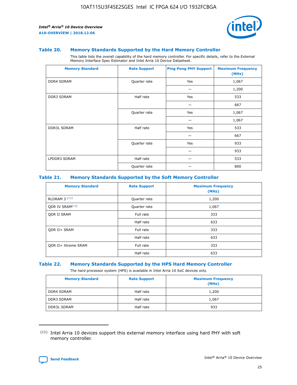

#### **Table 20. Memory Standards Supported by the Hard Memory Controller**

This table lists the overall capability of the hard memory controller. For specific details, refer to the External Memory Interface Spec Estimator and Intel Arria 10 Device Datasheet.

| <b>Memory Standard</b> | <b>Rate Support</b> | <b>Ping Pong PHY Support</b> | <b>Maximum Frequency</b><br>(MHz) |
|------------------------|---------------------|------------------------------|-----------------------------------|
| <b>DDR4 SDRAM</b>      | Quarter rate        | Yes                          | 1,067                             |
|                        |                     |                              | 1,200                             |
| DDR3 SDRAM             | Half rate           | Yes                          | 533                               |
|                        |                     |                              | 667                               |
|                        | Quarter rate        | Yes                          | 1,067                             |
|                        |                     |                              | 1,067                             |
| <b>DDR3L SDRAM</b>     | Half rate           | Yes                          | 533                               |
|                        |                     |                              | 667                               |
|                        | Quarter rate        | Yes                          | 933                               |
|                        |                     |                              | 933                               |
| LPDDR3 SDRAM           | Half rate           |                              | 533                               |
|                        | Quarter rate        |                              | 800                               |

#### **Table 21. Memory Standards Supported by the Soft Memory Controller**

| <b>Memory Standard</b>      | <b>Rate Support</b> | <b>Maximum Frequency</b><br>(MHz) |
|-----------------------------|---------------------|-----------------------------------|
| <b>RLDRAM 3 (11)</b>        | Quarter rate        | 1,200                             |
| ODR IV SRAM <sup>(11)</sup> | Quarter rate        | 1,067                             |
| <b>ODR II SRAM</b>          | Full rate           | 333                               |
|                             | Half rate           | 633                               |
| <b>ODR II+ SRAM</b>         | Full rate           | 333                               |
|                             | Half rate           | 633                               |
| <b>ODR II+ Xtreme SRAM</b>  | Full rate           | 333                               |
|                             | Half rate           | 633                               |

#### **Table 22. Memory Standards Supported by the HPS Hard Memory Controller**

The hard processor system (HPS) is available in Intel Arria 10 SoC devices only.

| <b>Memory Standard</b> | <b>Rate Support</b> | <b>Maximum Frequency</b><br>(MHz) |
|------------------------|---------------------|-----------------------------------|
| <b>DDR4 SDRAM</b>      | Half rate           | 1,200                             |
| <b>DDR3 SDRAM</b>      | Half rate           | 1,067                             |
| <b>DDR3L SDRAM</b>     | Half rate           | 933                               |

<sup>(11)</sup> Intel Arria 10 devices support this external memory interface using hard PHY with soft memory controller.

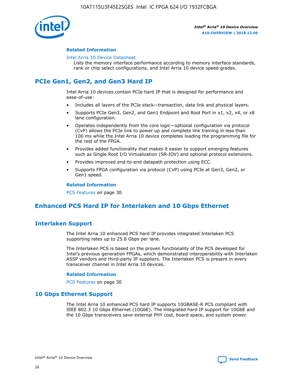

#### **Related Information**

#### [Intel Arria 10 Device Datasheet](https://www.intel.com/content/www/us/en/programmable/documentation/mcn1413182292568.html#mcn1413182153340)

Lists the memory interface performance according to memory interface standards, rank or chip select configurations, and Intel Arria 10 device speed grades.

# **PCIe Gen1, Gen2, and Gen3 Hard IP**

Intel Arria 10 devices contain PCIe hard IP that is designed for performance and ease-of-use:

- Includes all layers of the PCIe stack—transaction, data link and physical layers.
- Supports PCIe Gen3, Gen2, and Gen1 Endpoint and Root Port in x1, x2, x4, or x8 lane configuration.
- Operates independently from the core logic—optional configuration via protocol (CvP) allows the PCIe link to power up and complete link training in less than 100 ms while the Intel Arria 10 device completes loading the programming file for the rest of the FPGA.
- Provides added functionality that makes it easier to support emerging features such as Single Root I/O Virtualization (SR-IOV) and optional protocol extensions.
- Provides improved end-to-end datapath protection using ECC.
- Supports FPGA configuration via protocol (CvP) using PCIe at Gen3, Gen2, or Gen1 speed.

#### **Related Information**

PCS Features on page 30

# **Enhanced PCS Hard IP for Interlaken and 10 Gbps Ethernet**

## **Interlaken Support**

The Intel Arria 10 enhanced PCS hard IP provides integrated Interlaken PCS supporting rates up to 25.8 Gbps per lane.

The Interlaken PCS is based on the proven functionality of the PCS developed for Intel's previous generation FPGAs, which demonstrated interoperability with Interlaken ASSP vendors and third-party IP suppliers. The Interlaken PCS is present in every transceiver channel in Intel Arria 10 devices.

#### **Related Information**

PCS Features on page 30

## **10 Gbps Ethernet Support**

The Intel Arria 10 enhanced PCS hard IP supports 10GBASE-R PCS compliant with IEEE 802.3 10 Gbps Ethernet (10GbE). The integrated hard IP support for 10GbE and the 10 Gbps transceivers save external PHY cost, board space, and system power.

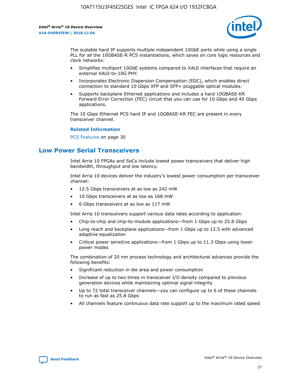

The scalable hard IP supports multiple independent 10GbE ports while using a single PLL for all the 10GBASE-R PCS instantiations, which saves on core logic resources and clock networks:

- Simplifies multiport 10GbE systems compared to XAUI interfaces that require an external XAUI-to-10G PHY.
- Incorporates Electronic Dispersion Compensation (EDC), which enables direct connection to standard 10 Gbps XFP and SFP+ pluggable optical modules.
- Supports backplane Ethernet applications and includes a hard 10GBASE-KR Forward Error Correction (FEC) circuit that you can use for 10 Gbps and 40 Gbps applications.

The 10 Gbps Ethernet PCS hard IP and 10GBASE-KR FEC are present in every transceiver channel.

#### **Related Information**

PCS Features on page 30

# **Low Power Serial Transceivers**

Intel Arria 10 FPGAs and SoCs include lowest power transceivers that deliver high bandwidth, throughput and low latency.

Intel Arria 10 devices deliver the industry's lowest power consumption per transceiver channel:

- 12.5 Gbps transceivers at as low as 242 mW
- 10 Gbps transceivers at as low as 168 mW
- 6 Gbps transceivers at as low as 117 mW

Intel Arria 10 transceivers support various data rates according to application:

- Chip-to-chip and chip-to-module applications—from 1 Gbps up to 25.8 Gbps
- Long reach and backplane applications—from 1 Gbps up to 12.5 with advanced adaptive equalization
- Critical power sensitive applications—from 1 Gbps up to 11.3 Gbps using lower power modes

The combination of 20 nm process technology and architectural advances provide the following benefits:

- Significant reduction in die area and power consumption
- Increase of up to two times in transceiver I/O density compared to previous generation devices while maintaining optimal signal integrity
- Up to 72 total transceiver channels—you can configure up to 6 of these channels to run as fast as 25.8 Gbps
- All channels feature continuous data rate support up to the maximum rated speed

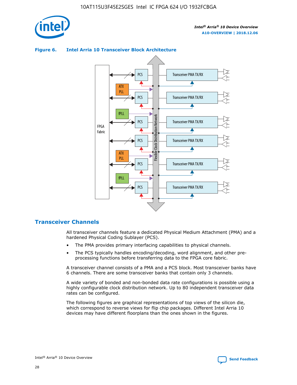



## **Figure 6. Intel Arria 10 Transceiver Block Architecture**

## **Transceiver Channels**

All transceiver channels feature a dedicated Physical Medium Attachment (PMA) and a hardened Physical Coding Sublayer (PCS).

- The PMA provides primary interfacing capabilities to physical channels.
- The PCS typically handles encoding/decoding, word alignment, and other preprocessing functions before transferring data to the FPGA core fabric.

A transceiver channel consists of a PMA and a PCS block. Most transceiver banks have 6 channels. There are some transceiver banks that contain only 3 channels.

A wide variety of bonded and non-bonded data rate configurations is possible using a highly configurable clock distribution network. Up to 80 independent transceiver data rates can be configured.

The following figures are graphical representations of top views of the silicon die, which correspond to reverse views for flip chip packages. Different Intel Arria 10 devices may have different floorplans than the ones shown in the figures.

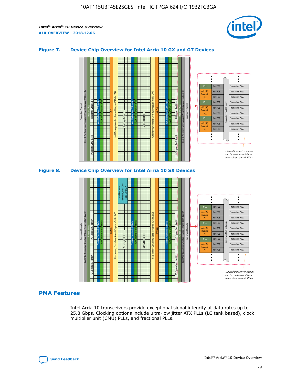

## **Figure 7. Device Chip Overview for Intel Arria 10 GX and GT Devices**





## **PMA Features**

Intel Arria 10 transceivers provide exceptional signal integrity at data rates up to 25.8 Gbps. Clocking options include ultra-low jitter ATX PLLs (LC tank based), clock multiplier unit (CMU) PLLs, and fractional PLLs.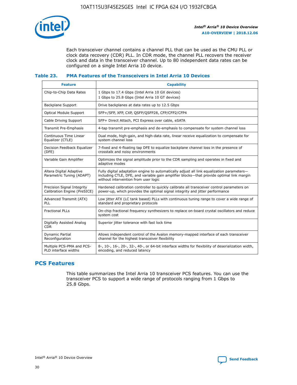

Each transceiver channel contains a channel PLL that can be used as the CMU PLL or clock data recovery (CDR) PLL. In CDR mode, the channel PLL recovers the receiver clock and data in the transceiver channel. Up to 80 independent data rates can be configured on a single Intel Arria 10 device.

## **Table 23. PMA Features of the Transceivers in Intel Arria 10 Devices**

| <b>Feature</b>                                             | <b>Capability</b>                                                                                                                                                                                                             |
|------------------------------------------------------------|-------------------------------------------------------------------------------------------------------------------------------------------------------------------------------------------------------------------------------|
| Chip-to-Chip Data Rates                                    | 1 Gbps to 17.4 Gbps (Intel Arria 10 GX devices)<br>1 Gbps to 25.8 Gbps (Intel Arria 10 GT devices)                                                                                                                            |
| <b>Backplane Support</b>                                   | Drive backplanes at data rates up to 12.5 Gbps                                                                                                                                                                                |
| Optical Module Support                                     | SFP+/SFP, XFP, CXP, QSFP/QSFP28, CFP/CFP2/CFP4                                                                                                                                                                                |
| Cable Driving Support                                      | SFP+ Direct Attach, PCI Express over cable, eSATA                                                                                                                                                                             |
| Transmit Pre-Emphasis                                      | 4-tap transmit pre-emphasis and de-emphasis to compensate for system channel loss                                                                                                                                             |
| Continuous Time Linear<br>Equalizer (CTLE)                 | Dual mode, high-gain, and high-data rate, linear receive equalization to compensate for<br>system channel loss                                                                                                                |
| Decision Feedback Equalizer<br>(DFE)                       | 7-fixed and 4-floating tap DFE to equalize backplane channel loss in the presence of<br>crosstalk and noisy environments                                                                                                      |
| Variable Gain Amplifier                                    | Optimizes the signal amplitude prior to the CDR sampling and operates in fixed and<br>adaptive modes                                                                                                                          |
| Altera Digital Adaptive<br>Parametric Tuning (ADAPT)       | Fully digital adaptation engine to automatically adjust all link equalization parameters-<br>including CTLE, DFE, and variable gain amplifier blocks—that provide optimal link margin<br>without intervention from user logic |
| Precision Signal Integrity<br>Calibration Engine (PreSICE) | Hardened calibration controller to quickly calibrate all transceiver control parameters on<br>power-up, which provides the optimal signal integrity and jitter performance                                                    |
| Advanced Transmit (ATX)<br><b>PLL</b>                      | Low jitter ATX (LC tank based) PLLs with continuous tuning range to cover a wide range of<br>standard and proprietary protocols                                                                                               |
| <b>Fractional PLLs</b>                                     | On-chip fractional frequency synthesizers to replace on-board crystal oscillators and reduce<br>system cost                                                                                                                   |
| Digitally Assisted Analog<br><b>CDR</b>                    | Superior jitter tolerance with fast lock time                                                                                                                                                                                 |
| Dynamic Partial<br>Reconfiguration                         | Allows independent control of the Avalon memory-mapped interface of each transceiver<br>channel for the highest transceiver flexibility                                                                                       |
| Multiple PCS-PMA and PCS-<br>PLD interface widths          | 8-, 10-, 16-, 20-, 32-, 40-, or 64-bit interface widths for flexibility of deserialization width,<br>encoding, and reduced latency                                                                                            |

## **PCS Features**

This table summarizes the Intel Arria 10 transceiver PCS features. You can use the transceiver PCS to support a wide range of protocols ranging from 1 Gbps to 25.8 Gbps.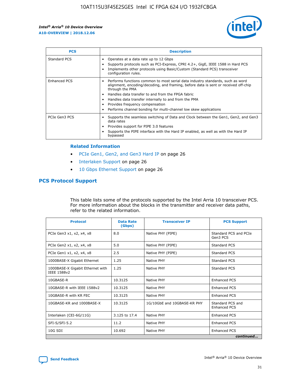

| <b>PCS</b>    | <b>Description</b>                                                                                                                                                                                                                                                                                                                                                                                             |
|---------------|----------------------------------------------------------------------------------------------------------------------------------------------------------------------------------------------------------------------------------------------------------------------------------------------------------------------------------------------------------------------------------------------------------------|
| Standard PCS  | Operates at a data rate up to 12 Gbps<br>Supports protocols such as PCI-Express, CPRI 4.2+, GigE, IEEE 1588 in Hard PCS<br>Implements other protocols using Basic/Custom (Standard PCS) transceiver<br>configuration rules.                                                                                                                                                                                    |
| Enhanced PCS  | Performs functions common to most serial data industry standards, such as word<br>alignment, encoding/decoding, and framing, before data is sent or received off-chip<br>through the PMA<br>• Handles data transfer to and from the FPGA fabric<br>Handles data transfer internally to and from the PMA<br>Provides frequency compensation<br>Performs channel bonding for multi-channel low skew applications |
| PCIe Gen3 PCS | Supports the seamless switching of Data and Clock between the Gen1, Gen2, and Gen3<br>data rates<br>Provides support for PIPE 3.0 features<br>Supports the PIPE interface with the Hard IP enabled, as well as with the Hard IP<br>bypassed                                                                                                                                                                    |

#### **Related Information**

- PCIe Gen1, Gen2, and Gen3 Hard IP on page 26
- Interlaken Support on page 26
- 10 Gbps Ethernet Support on page 26

## **PCS Protocol Support**

This table lists some of the protocols supported by the Intel Arria 10 transceiver PCS. For more information about the blocks in the transmitter and receiver data paths, refer to the related information.

| <b>Protocol</b>                                 | <b>Data Rate</b><br>(Gbps) | <b>Transceiver IP</b>       | <b>PCS Support</b>                      |
|-------------------------------------------------|----------------------------|-----------------------------|-----------------------------------------|
| PCIe Gen3 x1, x2, x4, x8                        | 8.0                        | Native PHY (PIPE)           | Standard PCS and PCIe<br>Gen3 PCS       |
| PCIe Gen2 x1, x2, x4, x8                        | 5.0                        | Native PHY (PIPE)           | <b>Standard PCS</b>                     |
| PCIe Gen1 x1, x2, x4, x8                        | 2.5                        | Native PHY (PIPE)           | Standard PCS                            |
| 1000BASE-X Gigabit Ethernet                     | 1.25                       | Native PHY                  | <b>Standard PCS</b>                     |
| 1000BASE-X Gigabit Ethernet with<br>IEEE 1588v2 | 1.25                       | Native PHY                  | Standard PCS                            |
| 10GBASE-R                                       | 10.3125                    | Native PHY                  | <b>Enhanced PCS</b>                     |
| 10GBASE-R with IEEE 1588v2                      | 10.3125                    | Native PHY                  | <b>Enhanced PCS</b>                     |
| 10GBASE-R with KR FEC                           | 10.3125                    | Native PHY                  | <b>Enhanced PCS</b>                     |
| 10GBASE-KR and 1000BASE-X                       | 10.3125                    | 1G/10GbE and 10GBASE-KR PHY | Standard PCS and<br><b>Enhanced PCS</b> |
| Interlaken (CEI-6G/11G)                         | 3.125 to 17.4              | Native PHY                  | <b>Enhanced PCS</b>                     |
| SFI-S/SFI-5.2                                   | 11.2                       | Native PHY                  | <b>Enhanced PCS</b>                     |
| $10G$ SDI                                       | 10.692                     | Native PHY                  | <b>Enhanced PCS</b>                     |
|                                                 |                            |                             | continued                               |

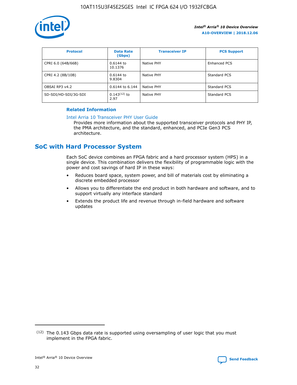

| <b>Protocol</b>      | <b>Data Rate</b><br>(Gbps) | <b>Transceiver IP</b> | <b>PCS Support</b> |
|----------------------|----------------------------|-----------------------|--------------------|
| CPRI 6.0 (64B/66B)   | 0.6144 to<br>10.1376       | Native PHY            | Enhanced PCS       |
| CPRI 4.2 (8B/10B)    | 0.6144 to<br>9.8304        | Native PHY            | Standard PCS       |
| OBSAI RP3 v4.2       | 0.6144 to 6.144            | Native PHY            | Standard PCS       |
| SD-SDI/HD-SDI/3G-SDI | $0.143(12)$ to<br>2.97     | Native PHY            | Standard PCS       |

## **Related Information**

#### [Intel Arria 10 Transceiver PHY User Guide](https://www.intel.com/content/www/us/en/programmable/documentation/nik1398707230472.html#nik1398707091164)

Provides more information about the supported transceiver protocols and PHY IP, the PMA architecture, and the standard, enhanced, and PCIe Gen3 PCS architecture.

# **SoC with Hard Processor System**

Each SoC device combines an FPGA fabric and a hard processor system (HPS) in a single device. This combination delivers the flexibility of programmable logic with the power and cost savings of hard IP in these ways:

- Reduces board space, system power, and bill of materials cost by eliminating a discrete embedded processor
- Allows you to differentiate the end product in both hardware and software, and to support virtually any interface standard
- Extends the product life and revenue through in-field hardware and software updates

 $(12)$  The 0.143 Gbps data rate is supported using oversampling of user logic that you must implement in the FPGA fabric.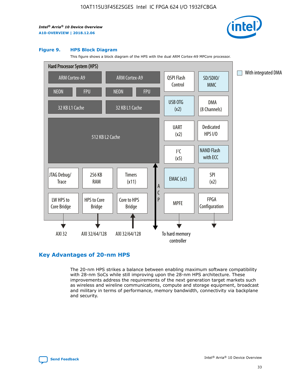

#### **Figure 9. HPS Block Diagram**

This figure shows a block diagram of the HPS with the dual ARM Cortex-A9 MPCore processor.



## **Key Advantages of 20-nm HPS**

The 20-nm HPS strikes a balance between enabling maximum software compatibility with 28-nm SoCs while still improving upon the 28-nm HPS architecture. These improvements address the requirements of the next generation target markets such as wireless and wireline communications, compute and storage equipment, broadcast and military in terms of performance, memory bandwidth, connectivity via backplane and security.

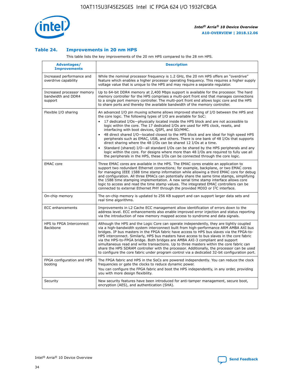

## **Table 24. Improvements in 20 nm HPS**

This table lists the key improvements of the 20 nm HPS compared to the 28 nm HPS.

| Advantages/<br><b>Improvements</b>                          | <b>Description</b>                                                                                                                                                                                                                                                                                                                                                                                                                                                                                                                                                                                                                                                                                                                                                                                                                                                                                                                                |
|-------------------------------------------------------------|---------------------------------------------------------------------------------------------------------------------------------------------------------------------------------------------------------------------------------------------------------------------------------------------------------------------------------------------------------------------------------------------------------------------------------------------------------------------------------------------------------------------------------------------------------------------------------------------------------------------------------------------------------------------------------------------------------------------------------------------------------------------------------------------------------------------------------------------------------------------------------------------------------------------------------------------------|
| Increased performance and<br>overdrive capability           | While the nominal processor frequency is 1.2 GHz, the 20 nm HPS offers an "overdrive"<br>feature which enables a higher processor operating frequency. This requires a higher supply<br>voltage value that is unique to the HPS and may require a separate regulator.                                                                                                                                                                                                                                                                                                                                                                                                                                                                                                                                                                                                                                                                             |
| Increased processor memory<br>bandwidth and DDR4<br>support | Up to 64-bit DDR4 memory at 2,400 Mbps support is available for the processor. The hard<br>memory controller for the HPS comprises a multi-port front end that manages connections<br>to a single port memory controller. The multi-port front end allows logic core and the HPS<br>to share ports and thereby the available bandwidth of the memory controller.                                                                                                                                                                                                                                                                                                                                                                                                                                                                                                                                                                                  |
| Flexible I/O sharing                                        | An advanced I/O pin muxing scheme allows improved sharing of I/O between the HPS and<br>the core logic. The following types of I/O are available for SoC:<br>$\bullet$<br>17 dedicated I/Os-physically located inside the HPS block and are not accessible to<br>logic within the core. The 17 dedicated I/Os are used for HPS clock, resets, and<br>interfacing with boot devices, QSPI, and SD/MMC.<br>48 direct shared I/O-located closest to the HPS block and are ideal for high speed HPS<br>$\bullet$<br>peripherals such as EMAC, USB, and others. There is one bank of 48 I/Os that supports<br>direct sharing where the 48 I/Os can be shared 12 I/Os at a time.<br>Standard (shared) I/O-all standard I/Os can be shared by the HPS peripherals and any<br>logic within the core. For designs where more than 48 I/Os are required to fully use all<br>the peripherals in the HPS, these I/Os can be connected through the core logic. |
| <b>EMAC</b> core                                            | Three EMAC cores are available in the HPS. The EMAC cores enable an application to<br>support two redundant Ethernet connections; for example, backplane, or two EMAC cores<br>for managing IEEE 1588 time stamp information while allowing a third EMAC core for debug<br>and configuration. All three EMACs can potentially share the same time stamps, simplifying<br>the 1588 time stamping implementation. A new serial time stamp interface allows core<br>logic to access and read the time stamp values. The integrated EMAC controllers can be<br>connected to external Ethernet PHY through the provided MDIO or I <sup>2</sup> C interface.                                                                                                                                                                                                                                                                                            |
| On-chip memory                                              | The on-chip memory is updated to 256 KB support and can support larger data sets and<br>real time algorithms.                                                                                                                                                                                                                                                                                                                                                                                                                                                                                                                                                                                                                                                                                                                                                                                                                                     |
| <b>ECC</b> enhancements                                     | Improvements in L2 Cache ECC management allow identification of errors down to the<br>address level. ECC enhancements also enable improved error injection and status reporting<br>via the introduction of new memory mapped access to syndrome and data signals.                                                                                                                                                                                                                                                                                                                                                                                                                                                                                                                                                                                                                                                                                 |
| HPS to FPGA Interconnect<br>Backbone                        | Although the HPS and the Logic Core can operate independently, they are tightly coupled<br>via a high-bandwidth system interconnect built from high-performance ARM AMBA AXI bus<br>bridges. IP bus masters in the FPGA fabric have access to HPS bus slaves via the FPGA-to-<br>HPS interconnect. Similarly, HPS bus masters have access to bus slaves in the core fabric<br>via the HPS-to-FPGA bridge. Both bridges are AMBA AXI-3 compliant and support<br>simultaneous read and write transactions. Up to three masters within the core fabric can<br>share the HPS SDRAM controller with the processor. Additionally, the processor can be used<br>to configure the core fabric under program control via a dedicated 32-bit configuration port.                                                                                                                                                                                            |
| FPGA configuration and HPS<br>booting                       | The FPGA fabric and HPS in the SoCs are powered independently. You can reduce the clock<br>frequencies or gate the clocks to reduce dynamic power.<br>You can configure the FPGA fabric and boot the HPS independently, in any order, providing<br>you with more design flexibility.                                                                                                                                                                                                                                                                                                                                                                                                                                                                                                                                                                                                                                                              |
| Security                                                    | New security features have been introduced for anti-tamper management, secure boot,<br>encryption (AES), and authentication (SHA).                                                                                                                                                                                                                                                                                                                                                                                                                                                                                                                                                                                                                                                                                                                                                                                                                |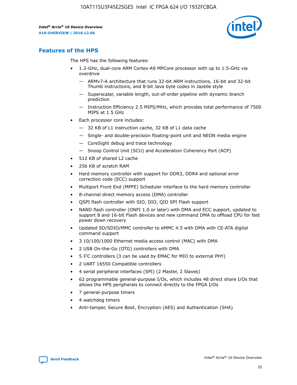

## **Features of the HPS**

The HPS has the following features:

- 1.2-GHz, dual-core ARM Cortex-A9 MPCore processor with up to 1.5-GHz via overdrive
	- ARMv7-A architecture that runs 32-bit ARM instructions, 16-bit and 32-bit Thumb instructions, and 8-bit Java byte codes in Jazelle style
	- Superscalar, variable length, out-of-order pipeline with dynamic branch prediction
	- Instruction Efficiency 2.5 MIPS/MHz, which provides total performance of 7500 MIPS at 1.5 GHz
- Each processor core includes:
	- 32 KB of L1 instruction cache, 32 KB of L1 data cache
	- Single- and double-precision floating-point unit and NEON media engine
	- CoreSight debug and trace technology
	- Snoop Control Unit (SCU) and Acceleration Coherency Port (ACP)
- 512 KB of shared L2 cache
- 256 KB of scratch RAM
- Hard memory controller with support for DDR3, DDR4 and optional error correction code (ECC) support
- Multiport Front End (MPFE) Scheduler interface to the hard memory controller
- 8-channel direct memory access (DMA) controller
- QSPI flash controller with SIO, DIO, QIO SPI Flash support
- NAND flash controller (ONFI 1.0 or later) with DMA and ECC support, updated to support 8 and 16-bit Flash devices and new command DMA to offload CPU for fast power down recovery
- Updated SD/SDIO/MMC controller to eMMC 4.5 with DMA with CE-ATA digital command support
- 3 10/100/1000 Ethernet media access control (MAC) with DMA
- 2 USB On-the-Go (OTG) controllers with DMA
- $\bullet$  5 I<sup>2</sup>C controllers (3 can be used by EMAC for MIO to external PHY)
- 2 UART 16550 Compatible controllers
- 4 serial peripheral interfaces (SPI) (2 Master, 2 Slaves)
- 62 programmable general-purpose I/Os, which includes 48 direct share I/Os that allows the HPS peripherals to connect directly to the FPGA I/Os
- 7 general-purpose timers
- 4 watchdog timers
- Anti-tamper, Secure Boot, Encryption (AES) and Authentication (SHA)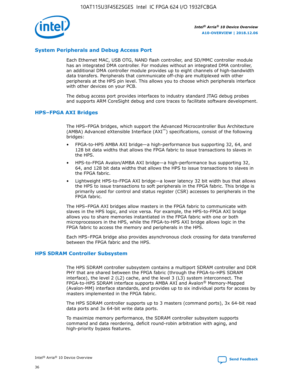

## **System Peripherals and Debug Access Port**

Each Ethernet MAC, USB OTG, NAND flash controller, and SD/MMC controller module has an integrated DMA controller. For modules without an integrated DMA controller, an additional DMA controller module provides up to eight channels of high-bandwidth data transfers. Peripherals that communicate off-chip are multiplexed with other peripherals at the HPS pin level. This allows you to choose which peripherals interface with other devices on your PCB.

The debug access port provides interfaces to industry standard JTAG debug probes and supports ARM CoreSight debug and core traces to facilitate software development.

#### **HPS–FPGA AXI Bridges**

The HPS–FPGA bridges, which support the Advanced Microcontroller Bus Architecture (AMBA) Advanced eXtensible Interface (AXI™) specifications, consist of the following bridges:

- FPGA-to-HPS AMBA AXI bridge—a high-performance bus supporting 32, 64, and 128 bit data widths that allows the FPGA fabric to issue transactions to slaves in the HPS.
- HPS-to-FPGA Avalon/AMBA AXI bridge—a high-performance bus supporting 32, 64, and 128 bit data widths that allows the HPS to issue transactions to slaves in the FPGA fabric.
- Lightweight HPS-to-FPGA AXI bridge—a lower latency 32 bit width bus that allows the HPS to issue transactions to soft peripherals in the FPGA fabric. This bridge is primarily used for control and status register (CSR) accesses to peripherals in the FPGA fabric.

The HPS–FPGA AXI bridges allow masters in the FPGA fabric to communicate with slaves in the HPS logic, and vice versa. For example, the HPS-to-FPGA AXI bridge allows you to share memories instantiated in the FPGA fabric with one or both microprocessors in the HPS, while the FPGA-to-HPS AXI bridge allows logic in the FPGA fabric to access the memory and peripherals in the HPS.

Each HPS–FPGA bridge also provides asynchronous clock crossing for data transferred between the FPGA fabric and the HPS.

#### **HPS SDRAM Controller Subsystem**

The HPS SDRAM controller subsystem contains a multiport SDRAM controller and DDR PHY that are shared between the FPGA fabric (through the FPGA-to-HPS SDRAM interface), the level 2 (L2) cache, and the level 3 (L3) system interconnect. The FPGA-to-HPS SDRAM interface supports AMBA AXI and Avalon® Memory-Mapped (Avalon-MM) interface standards, and provides up to six individual ports for access by masters implemented in the FPGA fabric.

The HPS SDRAM controller supports up to 3 masters (command ports), 3x 64-bit read data ports and 3x 64-bit write data ports.

To maximize memory performance, the SDRAM controller subsystem supports command and data reordering, deficit round-robin arbitration with aging, and high-priority bypass features.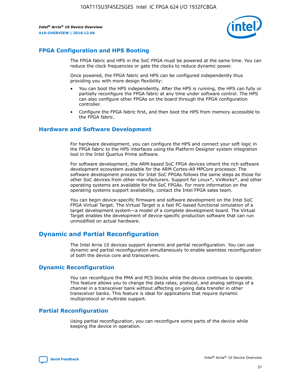

## **FPGA Configuration and HPS Booting**

The FPGA fabric and HPS in the SoC FPGA must be powered at the same time. You can reduce the clock frequencies or gate the clocks to reduce dynamic power.

Once powered, the FPGA fabric and HPS can be configured independently thus providing you with more design flexibility:

- You can boot the HPS independently. After the HPS is running, the HPS can fully or partially reconfigure the FPGA fabric at any time under software control. The HPS can also configure other FPGAs on the board through the FPGA configuration controller.
- Configure the FPGA fabric first, and then boot the HPS from memory accessible to the FPGA fabric.

## **Hardware and Software Development**

For hardware development, you can configure the HPS and connect your soft logic in the FPGA fabric to the HPS interfaces using the Platform Designer system integration tool in the Intel Quartus Prime software.

For software development, the ARM-based SoC FPGA devices inherit the rich software development ecosystem available for the ARM Cortex-A9 MPCore processor. The software development process for Intel SoC FPGAs follows the same steps as those for other SoC devices from other manufacturers. Support for Linux\*, VxWorks\*, and other operating systems are available for the SoC FPGAs. For more information on the operating systems support availability, contact the Intel FPGA sales team.

You can begin device-specific firmware and software development on the Intel SoC FPGA Virtual Target. The Virtual Target is a fast PC-based functional simulation of a target development system—a model of a complete development board. The Virtual Target enables the development of device-specific production software that can run unmodified on actual hardware.

## **Dynamic and Partial Reconfiguration**

The Intel Arria 10 devices support dynamic and partial reconfiguration. You can use dynamic and partial reconfiguration simultaneously to enable seamless reconfiguration of both the device core and transceivers.

## **Dynamic Reconfiguration**

You can reconfigure the PMA and PCS blocks while the device continues to operate. This feature allows you to change the data rates, protocol, and analog settings of a channel in a transceiver bank without affecting on-going data transfer in other transceiver banks. This feature is ideal for applications that require dynamic multiprotocol or multirate support.

## **Partial Reconfiguration**

Using partial reconfiguration, you can reconfigure some parts of the device while keeping the device in operation.

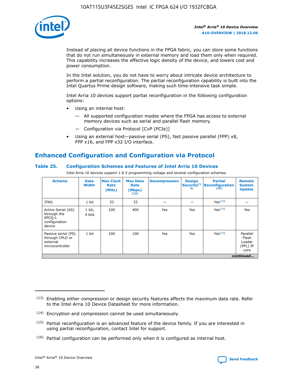

Instead of placing all device functions in the FPGA fabric, you can store some functions that do not run simultaneously in external memory and load them only when required. This capability increases the effective logic density of the device, and lowers cost and power consumption.

In the Intel solution, you do not have to worry about intricate device architecture to perform a partial reconfiguration. The partial reconfiguration capability is built into the Intel Quartus Prime design software, making such time-intensive task simple.

Intel Arria 10 devices support partial reconfiguration in the following configuration options:

- Using an internal host:
	- All supported configuration modes where the FPGA has access to external memory devices such as serial and parallel flash memory.
	- Configuration via Protocol [CvP (PCIe)]
- Using an external host—passive serial (PS), fast passive parallel (FPP) x8, FPP x16, and FPP x32 I/O interface.

# **Enhanced Configuration and Configuration via Protocol**

## **Table 25. Configuration Schemes and Features of Intel Arria 10 Devices**

Intel Arria 10 devices support 1.8 V programming voltage and several configuration schemes.

| <b>Scheme</b>                                                          | <b>Data</b><br><b>Width</b> | <b>Max Clock</b><br>Rate<br>(MHz) | <b>Max Data</b><br>Rate<br>(Mbps)<br>(13) | <b>Decompression</b> | <b>Design</b><br>Security <sup>(1</sup><br>4) | <b>Partial</b><br><b>Reconfiguration</b><br>(15) | <b>Remote</b><br><b>System</b><br><b>Update</b> |
|------------------------------------------------------------------------|-----------------------------|-----------------------------------|-------------------------------------------|----------------------|-----------------------------------------------|--------------------------------------------------|-------------------------------------------------|
| <b>JTAG</b>                                                            | 1 bit                       | 33                                | 33                                        |                      |                                               | Yes(16)                                          |                                                 |
| Active Serial (AS)<br>through the<br>EPCO-L<br>configuration<br>device | 1 bit,<br>4 bits            | 100                               | 400                                       | Yes                  | Yes                                           | $Y_{PS}(16)$                                     | Yes                                             |
| Passive serial (PS)<br>through CPLD or<br>external<br>microcontroller  | 1 bit                       | 100                               | 100                                       | Yes                  | Yes                                           | Yes(16)                                          | Parallel<br>Flash<br>Loader<br>(PFL) IP<br>core |
|                                                                        | continued                   |                                   |                                           |                      |                                               |                                                  |                                                 |

<sup>(13)</sup> Enabling either compression or design security features affects the maximum data rate. Refer to the Intel Arria 10 Device Datasheet for more information.

<sup>(14)</sup> Encryption and compression cannot be used simultaneously.

 $(15)$  Partial reconfiguration is an advanced feature of the device family. If you are interested in using partial reconfiguration, contact Intel for support.

 $(16)$  Partial configuration can be performed only when it is configured as internal host.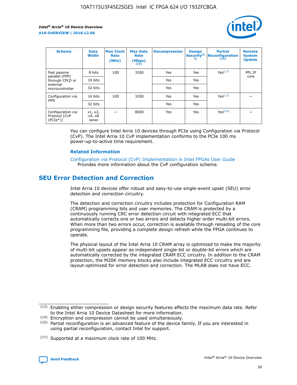

| <b>Scheme</b>                                    | <b>Data</b><br><b>Width</b> | <b>Max Clock</b><br>Rate<br>(MHz) | <b>Max Data</b><br>Rate<br>(Mbps)<br>(13) | <b>Decompression</b> | <b>Design</b><br>Security <sup>(1</sup><br>4) | <b>Partial</b><br><b>Reconfiguration</b><br>(15) | <b>Remote</b><br><b>System</b><br><b>Update</b> |
|--------------------------------------------------|-----------------------------|-----------------------------------|-------------------------------------------|----------------------|-----------------------------------------------|--------------------------------------------------|-------------------------------------------------|
| Fast passive                                     | 8 bits                      | 100                               | 3200                                      | Yes                  | Yes                                           | Yes(17)                                          | PFL IP                                          |
| parallel (FPP)<br>through CPLD or                | 16 bits                     |                                   |                                           | Yes                  | Yes                                           |                                                  | core                                            |
| external<br>microcontroller                      | 32 bits                     |                                   |                                           | Yes                  | Yes                                           |                                                  |                                                 |
| Configuration via                                | 16 bits                     | 100                               | 3200                                      | Yes                  | Yes                                           | Yes <sup>(17)</sup>                              |                                                 |
| <b>HPS</b>                                       | 32 bits                     |                                   |                                           | Yes                  | Yes                                           |                                                  |                                                 |
| Configuration via<br>Protocol [CvP<br>$(PCIe^*)$ | x1, x2,<br>x4, x8<br>lanes  |                                   | 8000                                      | Yes                  | Yes                                           | Yes(16)                                          |                                                 |

You can configure Intel Arria 10 devices through PCIe using Configuration via Protocol (CvP). The Intel Arria 10 CvP implementation conforms to the PCIe 100 ms power-up-to-active time requirement.

#### **Related Information**

[Configuration via Protocol \(CvP\) Implementation in Intel FPGAs User Guide](https://www.intel.com/content/www/us/en/programmable/documentation/dsu1441819344145.html#dsu1442269728522) Provides more information about the CvP configuration scheme.

# **SEU Error Detection and Correction**

Intel Arria 10 devices offer robust and easy-to-use single-event upset (SEU) error detection and correction circuitry.

The detection and correction circuitry includes protection for Configuration RAM (CRAM) programming bits and user memories. The CRAM is protected by a continuously running CRC error detection circuit with integrated ECC that automatically corrects one or two errors and detects higher order multi-bit errors. When more than two errors occur, correction is available through reloading of the core programming file, providing a complete design refresh while the FPGA continues to operate.

The physical layout of the Intel Arria 10 CRAM array is optimized to make the majority of multi-bit upsets appear as independent single-bit or double-bit errors which are automatically corrected by the integrated CRAM ECC circuitry. In addition to the CRAM protection, the M20K memory blocks also include integrated ECC circuitry and are layout-optimized for error detection and correction. The MLAB does not have ECC.

(14) Encryption and compression cannot be used simultaneously.

<sup>(17)</sup> Supported at a maximum clock rate of 100 MHz.



 $(13)$  Enabling either compression or design security features affects the maximum data rate. Refer to the Intel Arria 10 Device Datasheet for more information.

 $(15)$  Partial reconfiguration is an advanced feature of the device family. If you are interested in using partial reconfiguration, contact Intel for support.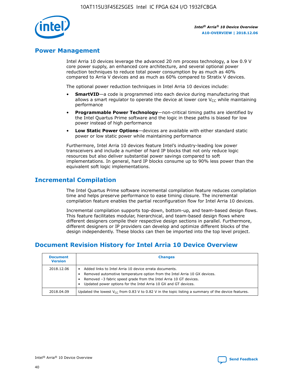

## **Power Management**

Intel Arria 10 devices leverage the advanced 20 nm process technology, a low 0.9 V core power supply, an enhanced core architecture, and several optional power reduction techniques to reduce total power consumption by as much as 40% compared to Arria V devices and as much as 60% compared to Stratix V devices.

The optional power reduction techniques in Intel Arria 10 devices include:

- **SmartVID**—a code is programmed into each device during manufacturing that allows a smart regulator to operate the device at lower core  $V_{CC}$  while maintaining performance
- **Programmable Power Technology**—non-critical timing paths are identified by the Intel Quartus Prime software and the logic in these paths is biased for low power instead of high performance
- **Low Static Power Options**—devices are available with either standard static power or low static power while maintaining performance

Furthermore, Intel Arria 10 devices feature Intel's industry-leading low power transceivers and include a number of hard IP blocks that not only reduce logic resources but also deliver substantial power savings compared to soft implementations. In general, hard IP blocks consume up to 90% less power than the equivalent soft logic implementations.

# **Incremental Compilation**

The Intel Quartus Prime software incremental compilation feature reduces compilation time and helps preserve performance to ease timing closure. The incremental compilation feature enables the partial reconfiguration flow for Intel Arria 10 devices.

Incremental compilation supports top-down, bottom-up, and team-based design flows. This feature facilitates modular, hierarchical, and team-based design flows where different designers compile their respective design sections in parallel. Furthermore, different designers or IP providers can develop and optimize different blocks of the design independently. These blocks can then be imported into the top level project.

# **Document Revision History for Intel Arria 10 Device Overview**

| <b>Document</b><br><b>Version</b> | <b>Changes</b>                                                                                                                                                                                                                                                              |
|-----------------------------------|-----------------------------------------------------------------------------------------------------------------------------------------------------------------------------------------------------------------------------------------------------------------------------|
| 2018.12.06                        | Added links to Intel Arria 10 device errata documents.<br>Removed automotive temperature option from the Intel Arria 10 GX devices.<br>Removed -3 fabric speed grade from the Intel Arria 10 GT devices.<br>Updated power options for the Intel Arria 10 GX and GT devices. |
| 2018.04.09                        | Updated the lowest $V_{CC}$ from 0.83 V to 0.82 V in the topic listing a summary of the device features.                                                                                                                                                                    |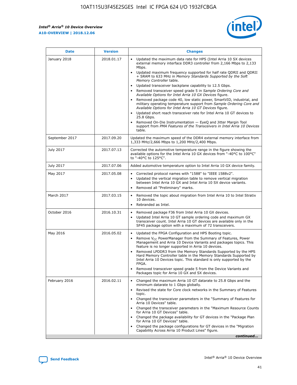

| <b>Date</b>    | <b>Version</b> | <b>Changes</b>                                                                                                                                                                                                                                                                                                                                                                                                                                                                                                                                                                                                                                                                                                                                                                                                                                                                                                                                               |
|----------------|----------------|--------------------------------------------------------------------------------------------------------------------------------------------------------------------------------------------------------------------------------------------------------------------------------------------------------------------------------------------------------------------------------------------------------------------------------------------------------------------------------------------------------------------------------------------------------------------------------------------------------------------------------------------------------------------------------------------------------------------------------------------------------------------------------------------------------------------------------------------------------------------------------------------------------------------------------------------------------------|
| January 2018   | 2018.01.17     | Updated the maximum data rate for HPS (Intel Arria 10 SX devices<br>external memory interface DDR3 controller from 2,166 Mbps to 2,133<br>Mbps.<br>Updated maximum frequency supported for half rate QDRII and QDRII<br>+ SRAM to 633 MHz in Memory Standards Supported by the Soft<br>Memory Controller table.<br>Updated transceiver backplane capability to 12.5 Gbps.<br>Removed transceiver speed grade 5 in Sample Ordering Core and<br>Available Options for Intel Arria 10 GX Devices figure.<br>Removed package code 40, low static power, SmartVID, industrial, and<br>military operating temperature support from Sample Ordering Core and<br>Available Options for Intel Arria 10 GT Devices figure.<br>Updated short reach transceiver rate for Intel Arria 10 GT devices to<br>25.8 Gbps.<br>Removed On-Die Instrumentation - EyeQ and Jitter Margin Tool<br>support from PMA Features of the Transceivers in Intel Arria 10 Devices<br>table. |
| September 2017 | 2017.09.20     | Updated the maximum speed of the DDR4 external memory interface from<br>1,333 MHz/2,666 Mbps to 1,200 MHz/2,400 Mbps.                                                                                                                                                                                                                                                                                                                                                                                                                                                                                                                                                                                                                                                                                                                                                                                                                                        |
| July 2017      | 2017.07.13     | Corrected the automotive temperature range in the figure showing the<br>available options for the Intel Arria 10 GX devices from "-40°C to 100°C"<br>to "-40°C to 125°C".                                                                                                                                                                                                                                                                                                                                                                                                                                                                                                                                                                                                                                                                                                                                                                                    |
| July 2017      | 2017.07.06     | Added automotive temperature option to Intel Arria 10 GX device family.                                                                                                                                                                                                                                                                                                                                                                                                                                                                                                                                                                                                                                                                                                                                                                                                                                                                                      |
| May 2017       | 2017.05.08     | Corrected protocol names with "1588" to "IEEE 1588v2".<br>$\bullet$<br>Updated the vertical migration table to remove vertical migration<br>$\bullet$<br>between Intel Arria 10 GX and Intel Arria 10 SX device variants.<br>Removed all "Preliminary" marks.<br>$\bullet$                                                                                                                                                                                                                                                                                                                                                                                                                                                                                                                                                                                                                                                                                   |
| March 2017     | 2017.03.15     | Removed the topic about migration from Intel Arria 10 to Intel Stratix<br>$\bullet$<br>10 devices.<br>Rebranded as Intel.<br>$\bullet$                                                                                                                                                                                                                                                                                                                                                                                                                                                                                                                                                                                                                                                                                                                                                                                                                       |
| October 2016   | 2016.10.31     | Removed package F36 from Intel Arria 10 GX devices.<br>Updated Intel Arria 10 GT sample ordering code and maximum GX<br>$\bullet$<br>transceiver count. Intel Arria 10 GT devices are available only in the<br>SF45 package option with a maximum of 72 transceivers.                                                                                                                                                                                                                                                                                                                                                                                                                                                                                                                                                                                                                                                                                        |
| May 2016       | 2016.05.02     | Updated the FPGA Configuration and HPS Booting topic.<br>$\bullet$<br>Remove V <sub>CC</sub> PowerManager from the Summary of Features, Power<br>Management and Arria 10 Device Variants and packages topics. This<br>feature is no longer supported in Arria 10 devices.<br>Removed LPDDR3 from the Memory Standards Supported by the HPS<br>Hard Memory Controller table in the Memory Standards Supported by<br>Intel Arria 10 Devices topic. This standard is only supported by the<br><b>FPGA</b><br>Removed transceiver speed grade 5 from the Device Variants and<br>Packages topic for Arria 10 GX and SX devices.                                                                                                                                                                                                                                                                                                                                   |
| February 2016  | 2016.02.11     | Changed the maximum Arria 10 GT datarate to 25.8 Gbps and the<br>$\bullet$<br>minimum datarate to 1 Gbps globally.<br>Revised the state for Core clock networks in the Summary of Features<br>$\bullet$<br>topic.<br>Changed the transceiver parameters in the "Summary of Features for<br>$\bullet$<br>Arria 10 Devices" table.<br>Changed the transceiver parameters in the "Maximum Resource Counts<br>for Arria 10 GT Devices" table.<br>Changed the package availability for GT devices in the "Package Plan<br>for Arria 10 GT Devices" table.<br>Changed the package configurations for GT devices in the "Migration"<br>Capability Across Arria 10 Product Lines" figure.<br>continued                                                                                                                                                                                                                                                               |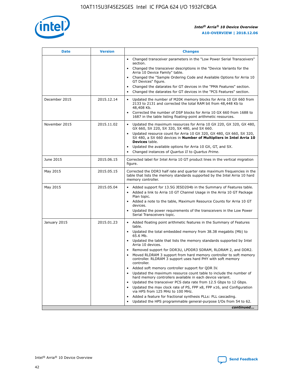

| <b>Date</b>   | <b>Version</b> | <b>Changes</b>                                                                                                                                                               |
|---------------|----------------|------------------------------------------------------------------------------------------------------------------------------------------------------------------------------|
|               |                | • Changed transceiver parameters in the "Low Power Serial Transceivers"<br>section.                                                                                          |
|               |                | • Changed the transceiver descriptions in the "Device Variants for the<br>Arria 10 Device Family" table.                                                                     |
|               |                | Changed the "Sample Ordering Code and Available Options for Arria 10<br>$\bullet$<br>GT Devices" figure.                                                                     |
|               |                | Changed the datarates for GT devices in the "PMA Features" section.                                                                                                          |
|               |                | Changed the datarates for GT devices in the "PCS Features" section.<br>$\bullet$                                                                                             |
| December 2015 | 2015.12.14     | Updated the number of M20K memory blocks for Arria 10 GX 660 from<br>2133 to 2131 and corrected the total RAM bit from 48,448 Kb to<br>48,408 Kb.                            |
|               |                | Corrected the number of DSP blocks for Arria 10 GX 660 from 1688 to<br>1687 in the table listing floating-point arithmetic resources.                                        |
| November 2015 | 2015.11.02     | Updated the maximum resources for Arria 10 GX 220, GX 320, GX 480,<br>$\bullet$<br>GX 660, SX 220, SX 320, SX 480, and SX 660.                                               |
|               |                | • Updated resource count for Arria 10 GX 320, GX 480, GX 660, SX 320,<br>SX 480, a SX 660 devices in Number of Multipliers in Intel Arria 10<br><b>Devices</b> table.        |
|               |                | Updated the available options for Arria 10 GX, GT, and SX.                                                                                                                   |
|               |                | Changed instances of Quartus II to Quartus Prime.<br>$\bullet$                                                                                                               |
| June 2015     | 2015.06.15     | Corrected label for Intel Arria 10 GT product lines in the vertical migration<br>figure.                                                                                     |
| May 2015      | 2015.05.15     | Corrected the DDR3 half rate and quarter rate maximum frequencies in the<br>table that lists the memory standards supported by the Intel Arria 10 hard<br>memory controller. |
| May 2015      | 2015.05.04     | • Added support for 13.5G JESD204b in the Summary of Features table.                                                                                                         |
|               |                | • Added a link to Arria 10 GT Channel Usage in the Arria 10 GT Package<br>Plan topic.                                                                                        |
|               |                | • Added a note to the table, Maximum Resource Counts for Arria 10 GT<br>devices.                                                                                             |
|               |                | • Updated the power requirements of the transceivers in the Low Power<br>Serial Transceivers topic.                                                                          |
| January 2015  | 2015.01.23     | • Added floating point arithmetic features in the Summary of Features<br>table.                                                                                              |
|               |                | • Updated the total embedded memory from 38.38 megabits (Mb) to<br>65.6 Mb.                                                                                                  |
|               |                | • Updated the table that lists the memory standards supported by Intel<br>Arria 10 devices.                                                                                  |
|               |                | Removed support for DDR3U, LPDDR3 SDRAM, RLDRAM 2, and DDR2.                                                                                                                 |
|               |                | Moved RLDRAM 3 support from hard memory controller to soft memory<br>controller. RLDRAM 3 support uses hard PHY with soft memory<br>controller.                              |
|               |                | Added soft memory controller support for QDR IV.<br>٠                                                                                                                        |
|               |                | Updated the maximum resource count table to include the number of<br>hard memory controllers available in each device variant.                                               |
|               |                | Updated the transceiver PCS data rate from 12.5 Gbps to 12 Gbps.<br>$\bullet$                                                                                                |
|               |                | Updated the max clock rate of PS, FPP x8, FPP x16, and Configuration<br>via HPS from 125 MHz to 100 MHz.                                                                     |
|               |                | Added a feature for fractional synthesis PLLs: PLL cascading.                                                                                                                |
|               |                | Updated the HPS programmable general-purpose I/Os from 54 to 62.<br>$\bullet$                                                                                                |
|               |                | continued                                                                                                                                                                    |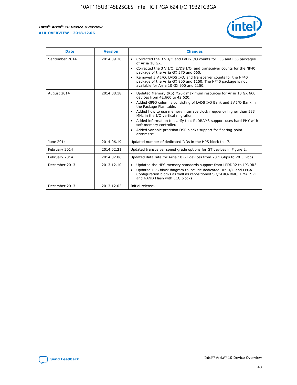

| <b>Date</b>    | <b>Version</b> | <b>Changes</b>                                                                                                                                                                                                                                                                                                                                                                                                                                                                                                                                      |
|----------------|----------------|-----------------------------------------------------------------------------------------------------------------------------------------------------------------------------------------------------------------------------------------------------------------------------------------------------------------------------------------------------------------------------------------------------------------------------------------------------------------------------------------------------------------------------------------------------|
| September 2014 | 2014.09.30     | Corrected the 3 V I/O and LVDS I/O counts for F35 and F36 packages<br>$\bullet$<br>of Arria 10 GX.<br>Corrected the 3 V I/O, LVDS I/O, and transceiver counts for the NF40<br>$\bullet$<br>package of the Arria GX 570 and 660.<br>Removed 3 V I/O, LVDS I/O, and transceiver counts for the NF40<br>$\bullet$<br>package of the Arria GX 900 and 1150. The NF40 package is not<br>available for Arria 10 GX 900 and 1150.                                                                                                                          |
| August 2014    | 2014.08.18     | Updated Memory (Kb) M20K maximum resources for Arria 10 GX 660<br>devices from 42,660 to 42,620.<br>Added GPIO columns consisting of LVDS I/O Bank and 3V I/O Bank in<br>$\bullet$<br>the Package Plan table.<br>Added how to use memory interface clock frequency higher than 533<br>$\bullet$<br>MHz in the I/O vertical migration.<br>Added information to clarify that RLDRAM3 support uses hard PHY with<br>$\bullet$<br>soft memory controller.<br>Added variable precision DSP blocks support for floating-point<br>$\bullet$<br>arithmetic. |
| June 2014      | 2014.06.19     | Updated number of dedicated I/Os in the HPS block to 17.                                                                                                                                                                                                                                                                                                                                                                                                                                                                                            |
| February 2014  | 2014.02.21     | Updated transceiver speed grade options for GT devices in Figure 2.                                                                                                                                                                                                                                                                                                                                                                                                                                                                                 |
| February 2014  | 2014.02.06     | Updated data rate for Arria 10 GT devices from 28.1 Gbps to 28.3 Gbps.                                                                                                                                                                                                                                                                                                                                                                                                                                                                              |
| December 2013  | 2013.12.10     | Updated the HPS memory standards support from LPDDR2 to LPDDR3.<br>$\bullet$<br>Updated HPS block diagram to include dedicated HPS I/O and FPGA<br>$\bullet$<br>Configuration blocks as well as repositioned SD/SDIO/MMC, DMA, SPI<br>and NAND Flash with ECC blocks.                                                                                                                                                                                                                                                                               |
| December 2013  | 2013.12.02     | Initial release.                                                                                                                                                                                                                                                                                                                                                                                                                                                                                                                                    |